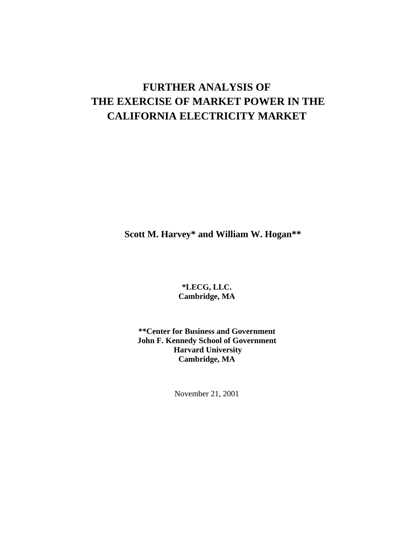# **FURTHER ANALYSIS OF THE EXERCISE OF MARKET POWER IN THE CALIFORNIA ELECTRICITY MARKET**

**Scott M. Harvey\* and William W. Hogan\*\***

**\*LECG, LLC. Cambridge, MA**

**\*\*Center for Business and Government John F. Kennedy School of Government Harvard University Cambridge, MA**

November 21, 2001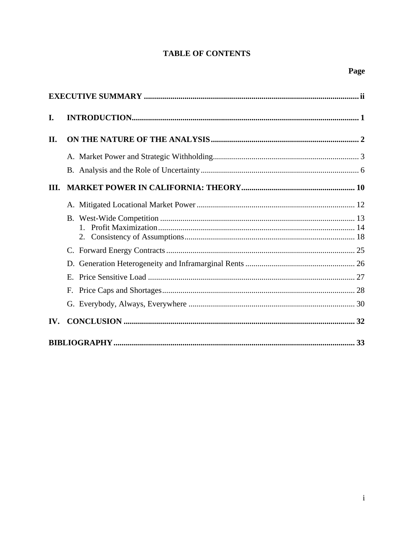# **TABLE OF CONTENTS**

| I.  |  |
|-----|--|
| П.  |  |
|     |  |
|     |  |
| Ш.  |  |
|     |  |
|     |  |
|     |  |
|     |  |
|     |  |
|     |  |
|     |  |
| IV. |  |
|     |  |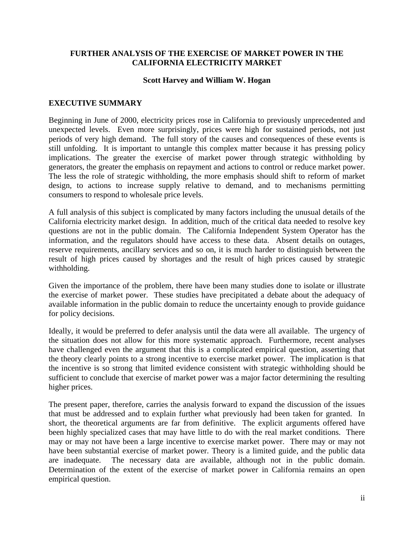### **FURTHER ANALYSIS OF THE EXERCISE OF MARKET POWER IN THE CALIFORNIA ELECTRICITY MARKET**

#### **Scott Harvey and William W. Hogan**

#### **EXECUTIVE SUMMARY**

Beginning in June of 2000, electricity prices rose in California to previously unprecedented and unexpected levels. Even more surprisingly, prices were high for sustained periods, not just periods of very high demand. The full story of the causes and consequences of these events is still unfolding. It is important to untangle this complex matter because it has pressing policy implications. The greater the exercise of market power through strategic withholding by generators, the greater the emphasis on repayment and actions to control or reduce market power. The less the role of strategic withholding, the more emphasis should shift to reform of market design, to actions to increase supply relative to demand, and to mechanisms permitting consumers to respond to wholesale price levels.

A full analysis of this subject is complicated by many factors including the unusual details of the California electricity market design. In addition, much of the critical data needed to resolve key questions are not in the public domain. The California Independent System Operator has the information, and the regulators should have access to these data. Absent details on outages, reserve requirements, ancillary services and so on, it is much harder to distinguish between the result of high prices caused by shortages and the result of high prices caused by strategic withholding.

Given the importance of the problem, there have been many studies done to isolate or illustrate the exercise of market power. These studies have precipitated a debate about the adequacy of available information in the public domain to reduce the uncertainty enough to provide guidance for policy decisions.

Ideally, it would be preferred to defer analysis until the data were all available. The urgency of the situation does not allow for this more systematic approach. Furthermore, recent analyses have challenged even the argument that this is a complicated empirical question, asserting that the theory clearly points to a strong incentive to exercise market power. The implication is that the incentive is so strong that limited evidence consistent with strategic withholding should be sufficient to conclude that exercise of market power was a major factor determining the resulting higher prices.

The present paper, therefore, carries the analysis forward to expand the discussion of the issues that must be addressed and to explain further what previously had been taken for granted. In short, the theoretical arguments are far from definitive. The explicit arguments offered have been highly specialized cases that may have little to do with the real market conditions. There may or may not have been a large incentive to exercise market power. There may or may not have been substantial exercise of market power. Theory is a limited guide, and the public data are inadequate. The necessary data are available, although not in the public domain. Determination of the extent of the exercise of market power in California remains an open empirical question.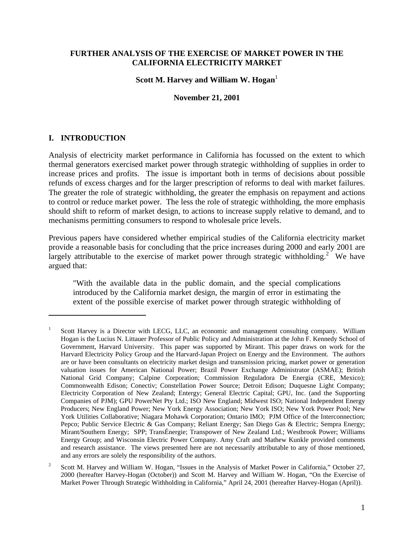### **FURTHER ANALYSIS OF THE EXERCISE OF MARKET POWER IN THE CALIFORNIA ELECTRICITY MARKET**

#### **Scott M. Harvey and William W. Hogan**<sup>1</sup>

#### **November 21, 2001**

### **I. INTRODUCTION**

1

Analysis of electricity market performance in California has focussed on the extent to which thermal generators exercised market power through strategic withholding of supplies in order to increase prices and profits. The issue is important both in terms of decisions about possible refunds of excess charges and for the larger prescription of reforms to deal with market failures. The greater the role of strategic withholding, the greater the emphasis on repayment and actions to control or reduce market power. The less the role of strategic withholding, the more emphasis should shift to reform of market design, to actions to increase supply relative to demand, and to mechanisms permitting consumers to respond to wholesale price levels.

Previous papers have considered whether empirical studies of the California electricity market provide a reasonable basis for concluding that the price increases during 2000 and early 2001 are largely attributable to the exercise of market power through strategic withholding.<sup>2</sup> We have argued that:

"With the available data in the public domain, and the special complications introduced by the California market design, the margin of error in estimating the extent of the possible exercise of market power through strategic withholding of

<sup>1</sup> Scott Harvey is a Director with LECG, LLC, an economic and management consulting company. William Hogan is the Lucius N. Littauer Professor of Public Policy and Administration at the John F. Kennedy School of Government, Harvard University. This paper was supported by Mirant. This paper draws on work for the Harvard Electricity Policy Group and the Harvard-Japan Project on Energy and the Environment. The authors are or have been consultants on electricity market design and transmission pricing, market power or generation valuation issues for American National Power; Brazil Power Exchange Administrator (ASMAE); British National Grid Company; Calpine Corporation; Commission Reguladora De Energia (CRE, Mexico); Commonwealth Edison; Conectiv; Constellation Power Source; Detroit Edison; Duquesne Light Company; Electricity Corporation of New Zealand; Entergy; General Electric Capital; GPU, Inc. (and the Supporting Companies of PJM); GPU PowerNet Pty Ltd.; ISO New England; Midwest ISO; National Independent Energy Producers; New England Power; New York Energy Association; New York ISO; New York Power Pool; New York Utilities Collaborative; Niagara Mohawk Corporation; Ontario IMO; PJM Office of the Interconnection; Pepco; Public Service Electric & Gas Company; Reliant Energy; San Diego Gas & Electric; Sempra Energy; Mirant/Southern Energy; SPP; TransÉnergie; Transpower of New Zealand Ltd.; Westbrook Power; Williams Energy Group; and Wisconsin Electric Power Company. Amy Craft and Mathew Kunkle provided comments and research assistance. The views presented here are not necessarily attributable to any of those mentioned, and any errors are solely the responsibility of the authors.

<sup>2</sup> Scott M. Harvey and William W. Hogan, "Issues in the Analysis of Market Power in California," October 27, 2000 (hereafter Harvey-Hogan (October)) and Scott M. Harvey and William W. Hogan, "On the Exercise of Market Power Through Strategic Withholding in California," April 24, 2001 (hereafter Harvey-Hogan (April)).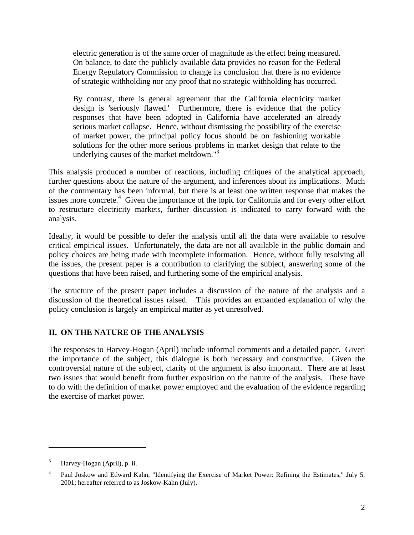electric generation is of the same order of magnitude as the effect being measured. On balance, to date the publicly available data provides no reason for the Federal Energy Regulatory Commission to change its conclusion that there is no evidence of strategic withholding nor any proof that no strategic withholding has occurred.

By contrast, there is general agreement that the California electricity market design is 'seriously flawed.' Furthermore, there is evidence that the policy responses that have been adopted in California have accelerated an already serious market collapse. Hence, without dismissing the possibility of the exercise of market power, the principal policy focus should be on fashioning workable solutions for the other more serious problems in market design that relate to the underlying causes of the market meltdown."<sup>3</sup>

This analysis produced a number of reactions, including critiques of the analytical approach, further questions about the nature of the argument, and inferences about its implications. Much of the commentary has been informal, but there is at least one written response that makes the issues more concrete.<sup>4</sup> Given the importance of the topic for California and for every other effort to restructure electricity markets, further discussion is indicated to carry forward with the analysis.

Ideally, it would be possible to defer the analysis until all the data were available to resolve critical empirical issues. Unfortunately, the data are not all available in the public domain and policy choices are being made with incomplete information. Hence, without fully resolving all the issues, the present paper is a contribution to clarifying the subject, answering some of the questions that have been raised, and furthering some of the empirical analysis.

The structure of the present paper includes a discussion of the nature of the analysis and a discussion of the theoretical issues raised. This provides an expanded explanation of why the policy conclusion is largely an empirical matter as yet unresolved.

# **II. ON THE NATURE OF THE ANALYSIS**

The responses to Harvey-Hogan (April) include informal comments and a detailed paper. Given the importance of the subject, this dialogue is both necessary and constructive. Given the controversial nature of the subject, clarity of the argument is also important. There are at least two issues that would benefit from further exposition on the nature of the analysis. These have to do with the definition of market power employed and the evaluation of the evidence regarding the exercise of market power.

1

 $3$  Harvey-Hogan (April), p. ii.

<sup>4</sup> Paul Joskow and Edward Kahn, "Identifying the Exercise of Market Power: Refining the Estimates," July 5, 2001; hereafter referred to as Joskow-Kahn (July).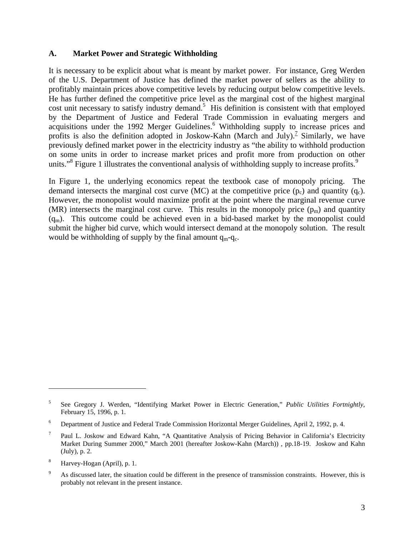### **A. Market Power and Strategic Withholding**

It is necessary to be explicit about what is meant by market power. For instance, Greg Werden of the U.S. Department of Justice has defined the market power of sellers as the ability to profitably maintain prices above competitive levels by reducing output below competitive levels. He has further defined the competitive price level as the marginal cost of the highest marginal cost unit necessary to satisfy industry demand.<sup>5</sup> His definition is consistent with that employed by the Department of Justice and Federal Trade Commission in evaluating mergers and acquisitions under the 1992 Merger Guidelines.<sup>6</sup> Withholding supply to increase prices and profits is also the definition adopted in Joskow-Kahn (March and July).<sup>7</sup> Similarly, we have previously defined market power in the electricity industry as "the ability to withhold production on some units in order to increase market prices and profit more from production on other units."<sup>8</sup> Figure 1 illustrates the conventional analysis of withholding supply to increase profits.<sup>9</sup>

In Figure 1, the underlying economics repeat the textbook case of monopoly pricing. The demand intersects the marginal cost curve (MC) at the competitive price  $(p_c)$  and quantity  $(q_c)$ . However, the monopolist would maximize profit at the point where the marginal revenue curve (MR) intersects the marginal cost curve. This results in the monopoly price  $(p_m)$  and quantity  $(q_m)$ . This outcome could be achieved even in a bid-based market by the monopolist could submit the higher bid curve, which would intersect demand at the monopoly solution. The result would be withholding of supply by the final amount  $q_m-q_c$ .

1

<sup>5</sup> See Gregory J. Werden, "Identifying Market Power in Electric Generation," *Public Utilities Fortnightly*, February 15, 1996, p. 1.

<sup>6</sup> Department of Justice and Federal Trade Commission Horizontal Merger Guidelines, April 2, 1992, p. 4.

<sup>7</sup> Paul L. Joskow and Edward Kahn, "A Quantitative Analysis of Pricing Behavior in California's Electricity Market During Summer 2000," March 2001 (hereafter Joskow-Kahn (March)) , pp.18-19. Joskow and Kahn (July), p. 2.

<sup>8</sup> Harvey-Hogan (April), p. 1.

As discussed later, the situation could be different in the presence of transmission constraints. However, this is probably not relevant in the present instance.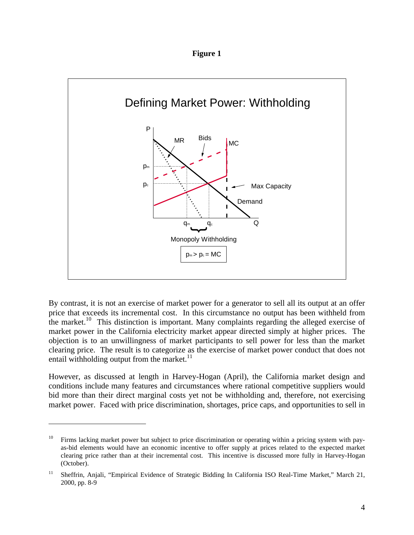**Figure 1**



By contrast, it is not an exercise of market power for a generator to sell all its output at an offer price that exceeds its incremental cost. In this circumstance no output has been withheld from the market.<sup>10</sup> This distinction is important. Many complaints regarding the alleged exercise of market power in the California electricity market appear directed simply at higher prices. The objection is to an unwillingness of market participants to sell power for less than the market clearing price. The result is to categorize as the exercise of market power conduct that does not entail withholding output from the market. $11$ 

However, as discussed at length in Harvey-Hogan (April), the California market design and conditions include many features and circumstances where rational competitive suppliers would bid more than their direct marginal costs yet not be withholding and, therefore, not exercising market power. Faced with price discrimination, shortages, price caps, and opportunities to sell in

 $10$  Firms lacking market power but subject to price discrimination or operating within a pricing system with payas-bid elements would have an economic incentive to offer supply at prices related to the expected market clearing price rather than at their incremental cost. This incentive is discussed more fully in Harvey-Hogan (October).

<sup>&</sup>lt;sup>11</sup> Sheffrin, Anjali, "Empirical Evidence of Strategic Bidding In California ISO Real-Time Market," March 21, 2000, pp. 8-9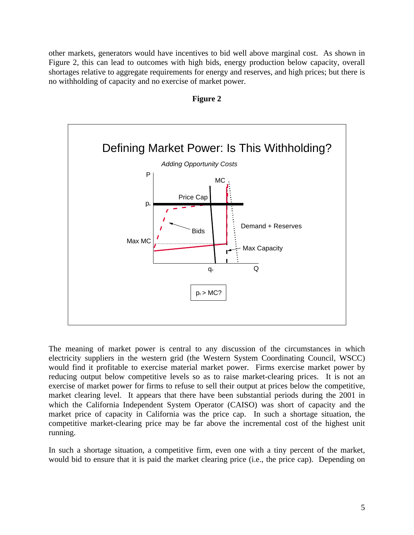other markets, generators would have incentives to bid well above marginal cost. As shown in Figure 2, this can lead to outcomes with high bids, energy production below capacity, overall shortages relative to aggregate requirements for energy and reserves, and high prices; but there is no withholding of capacity and no exercise of market power.





The meaning of market power is central to any discussion of the circumstances in which electricity suppliers in the western grid (the Western System Coordinating Council, WSCC) would find it profitable to exercise material market power. Firms exercise market power by reducing output below competitive levels so as to raise market-clearing prices. It is not an exercise of market power for firms to refuse to sell their output at prices below the competitive, market clearing level. It appears that there have been substantial periods during the 2001 in which the California Independent System Operator (CAISO) was short of capacity and the market price of capacity in California was the price cap. In such a shortage situation, the competitive market-clearing price may be far above the incremental cost of the highest unit running.

In such a shortage situation, a competitive firm, even one with a tiny percent of the market, would bid to ensure that it is paid the market clearing price (i.e., the price cap). Depending on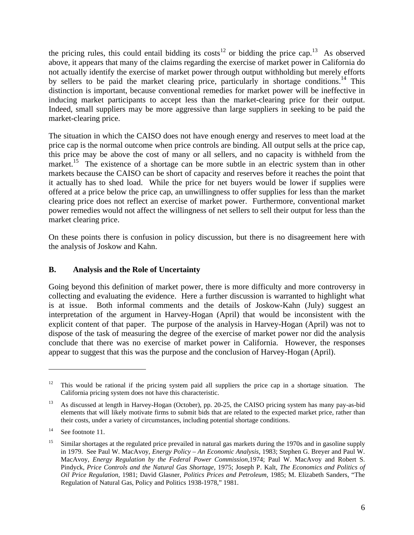the pricing rules, this could entail bidding its  $costs^{12}$  or bidding the price cap.<sup>13</sup> As observed above, it appears that many of the claims regarding the exercise of market power in California do not actually identify the exercise of market power through output withholding but merely efforts by sellers to be paid the market clearing price, particularly in shortage conditions.<sup>14</sup> This distinction is important, because conventional remedies for market power will be ineffective in inducing market participants to accept less than the market-clearing price for their output. Indeed, small suppliers may be more aggressive than large suppliers in seeking to be paid the market-clearing price.

The situation in which the CAISO does not have enough energy and reserves to meet load at the price cap is the normal outcome when price controls are binding. All output sells at the price cap, this price may be above the cost of many or all sellers, and no capacity is withheld from the market.<sup>15</sup> The existence of a shortage can be more subtle in an electric system than in other markets because the CAISO can be short of capacity and reserves before it reaches the point that it actually has to shed load. While the price for net buyers would be lower if supplies were offered at a price below the price cap, an unwillingness to offer supplies for less than the market clearing price does not reflect an exercise of market power. Furthermore, conventional market power remedies would not affect the willingness of net sellers to sell their output for less than the market clearing price.

On these points there is confusion in policy discussion, but there is no disagreement here with the analysis of Joskow and Kahn.

### **B. Analysis and the Role of Uncertainty**

Going beyond this definition of market power, there is more difficulty and more controversy in collecting and evaluating the evidence. Here a further discussion is warranted to highlight what is at issue. Both informal comments and the details of Joskow-Kahn (July) suggest an interpretation of the argument in Harvey-Hogan (April) that would be inconsistent with the explicit content of that paper. The purpose of the analysis in Harvey-Hogan (April) was not to dispose of the task of measuring the degree of the exercise of market power nor did the analysis conclude that there was no exercise of market power in California. However, the responses appear to suggest that this was the purpose and the conclusion of Harvey-Hogan (April).

 $12$  This would be rational if the pricing system paid all suppliers the price cap in a shortage situation. The California pricing system does not have this characteristic.

<sup>&</sup>lt;sup>13</sup> As discussed at length in Harvey-Hogan (October), pp. 20-25, the CAISO pricing system has many pay-as-bid elements that will likely motivate firms to submit bids that are related to the expected market price, rather than their costs, under a variety of circumstances, including potential shortage conditions.

<sup>&</sup>lt;sup>14</sup> See footnote 11.

<sup>&</sup>lt;sup>15</sup> Similar shortages at the regulated price prevailed in natural gas markets during the 1970s and in gasoline supply in 1979. See Paul W. MacAvoy, *Energy Policy – An Economic Analysis*, 1983; Stephen G. Breyer and Paul W. MacAvoy, *Energy Regulation by the Federal Power Commission,*1974; Paul W. MacAvoy and Robert S. Pindyck, *Price Controls and the Natural Gas Shortage*, 1975; Joseph P. Kalt, *The Economics and Politics of Oil Price Regulation*, 1981; David Glasner, *Politics Prices and Petroleum*, 1985; M. Elizabeth Sanders, "The Regulation of Natural Gas, Policy and Politics 1938-1978," 1981.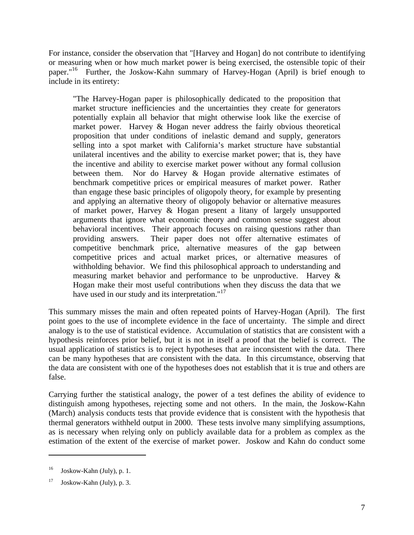For instance, consider the observation that "[Harvey and Hogan] do not contribute to identifying or measuring when or how much market power is being exercised, the ostensible topic of their paper."<sup>16</sup> Further, the Joskow-Kahn summary of Harvey-Hogan (April) is brief enough to include in its entirety:

"The Harvey-Hogan paper is philosophically dedicated to the proposition that market structure inefficiencies and the uncertainties they create for generators potentially explain all behavior that might otherwise look like the exercise of market power. Harvey & Hogan never address the fairly obvious theoretical proposition that under conditions of inelastic demand and supply, generators selling into a spot market with California's market structure have substantial unilateral incentives and the ability to exercise market power; that is, they have the incentive and ability to exercise market power without any formal collusion between them. Nor do Harvey & Hogan provide alternative estimates of benchmark competitive prices or empirical measures of market power. Rather than engage these basic principles of oligopoly theory, for example by presenting and applying an alternative theory of oligopoly behavior or alternative measures of market power, Harvey & Hogan present a litany of largely unsupported arguments that ignore what economic theory and common sense suggest about behavioral incentives. Their approach focuses on raising questions rather than providing answers. Their paper does not offer alternative estimates of competitive benchmark price, alternative measures of the gap between competitive prices and actual market prices, or alternative measures of withholding behavior. We find this philosophical approach to understanding and measuring market behavior and performance to be unproductive. Harvey & Hogan make their most useful contributions when they discuss the data that we have used in our study and its interpretation."<sup>17</sup>

This summary misses the main and often repeated points of Harvey-Hogan (April). The first point goes to the use of incomplete evidence in the face of uncertainty. The simple and direct analogy is to the use of statistical evidence. Accumulation of statistics that are consistent with a hypothesis reinforces prior belief, but it is not in itself a proof that the belief is correct. The usual application of statistics is to reject hypotheses that are inconsistent with the data. There can be many hypotheses that are consistent with the data. In this circumstance, observing that the data are consistent with one of the hypotheses does not establish that it is true and others are false.

Carrying further the statistical analogy, the power of a test defines the ability of evidence to distinguish among hypotheses, rejecting some and not others. In the main, the Joskow-Kahn (March) analysis conducts tests that provide evidence that is consistent with the hypothesis that thermal generators withheld output in 2000. These tests involve many simplifying assumptions, as is necessary when relying only on publicly available data for a problem as complex as the estimation of the extent of the exercise of market power. Joskow and Kahn do conduct some

 $^{16}$  Joskow-Kahn (July), p. 1.

 $17$  Joskow-Kahn (July), p. 3.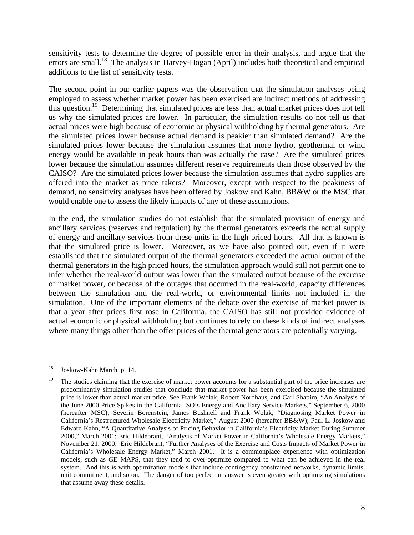sensitivity tests to determine the degree of possible error in their analysis, and argue that the errors are small.<sup>18</sup> The analysis in Harvey-Hogan (April) includes both theoretical and empirical additions to the list of sensitivity tests.

The second point in our earlier papers was the observation that the simulation analyses being employed to assess whether market power has been exercised are indirect methods of addressing this question.<sup>19</sup> Determining that simulated prices are less than actual market prices does not tell us why the simulated prices are lower. In particular, the simulation results do not tell us that actual prices were high because of economic or physical withholding by thermal generators. Are the simulated prices lower because actual demand is peakier than simulated demand? Are the simulated prices lower because the simulation assumes that more hydro, geothermal or wind energy would be available in peak hours than was actually the case? Are the simulated prices lower because the simulation assumes different reserve requirements than those observed by the CAISO? Are the simulated prices lower because the simulation assumes that hydro supplies are offered into the market as price takers? Moreover, except with respect to the peakiness of demand, no sensitivity analyses have been offered by Joskow and Kahn, BB&W or the MSC that would enable one to assess the likely impacts of any of these assumptions.

In the end, the simulation studies do not establish that the simulated provision of energy and ancillary services (reserves and regulation) by the thermal generators exceeds the actual supply of energy and ancillary services from these units in the high priced hours. All that is known is that the simulated price is lower. Moreover, as we have also pointed out, even if it were established that the simulated output of the thermal generators exceeded the actual output of the thermal generators in the high priced hours, the simulation approach would still not permit one to infer whether the real-world output was lower than the simulated output because of the exercise of market power, or because of the outages that occurred in the real-world, capacity differences between the simulation and the real-world, or environmental limits not included in the simulation. One of the important elements of the debate over the exercise of market power is that a year after prices first rose in California, the CAISO has still not provided evidence of actual economic or physical withholding but continues to rely on these kinds of indirect analyses where many things other than the offer prices of the thermal generators are potentially varying.

<sup>18</sup> Joskow-Kahn March, p. 14.

<sup>19</sup> The studies claiming that the exercise of market power accounts for a substantial part of the price increases are predominantly simulation studies that conclude that market power has been exercised because the simulated price is lower than actual market price. See Frank Wolak, Robert Nordhaus, and Carl Shapiro, "An Analysis of the June 2000 Price Spikes in the California ISO's Energy and Ancillary Service Markets," September 6, 2000 (hereafter MSC); Severin Borenstein, James Bushnell and Frank Wolak, "Diagnosing Market Power in California's Restructured Wholesale Electricity Market," August 2000 (hereafter BB&W); Paul L. Joskow and Edward Kahn, "A Quantitative Analysis of Pricing Behavior in California's Electricity Market During Summer 2000," March 2001; Eric Hildebrant, "Analysis of Market Power in California's Wholesale Energy Markets," November 21, 2000; Eric Hildebrant, "Further Analyses of the Exercise and Costs Impacts of Market Power in California's Wholesale Energy Market," March 2001. It is a commonplace experience with optimization models, such as GE MAPS, that they tend to over-optimize compared to what can be achieved in the real system. And this is with optimization models that include contingency constrained networks, dynamic limits, unit commitment, and so on. The danger of too perfect an answer is even greater with optimizing simulations that assume away these details.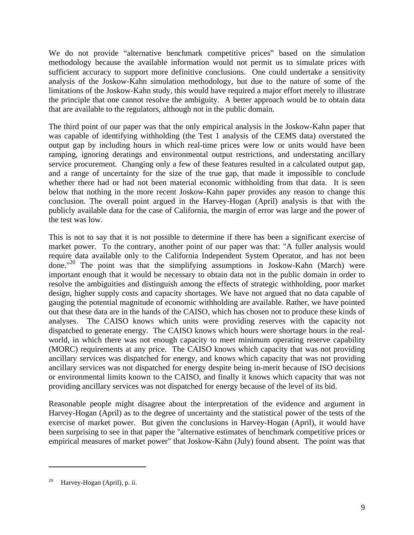We do not provide "alternative benchmark competitive prices" based on the simulation methodology because the available information would not permit us to simulate prices with sufficient accuracy to support more definitive conclusions. One could undertake a sensitivity analysis of the Joskow-Kahn simulation methodology, but due to the nature of some of the limitations of the Joskow-Kahn study, this would have required a major effort merely to illustrate the principle that one cannot resolve the ambiguity. A better approach would be to obtain data that are available to the regulators, although not in the public domain.

The third point of our paper was that the only empirical analysis in the Joskow-Kahn paper that was capable of identifying withholding (the Test 1 analysis of the CEMS data) overstated the output gap by including hours in which real-time prices were low or units would have been ramping, ignoring deratings and environmental output restrictions, and understating ancillary service procurement. Changing only a few of these features resulted in a calculated output gap, and a range of uncertainty for the size of the true gap, that made it impossible to conclude whether there had or had not been material economic withholding from that data. It is seen below that nothing in the more recent Joskow-Kahn paper provides any reason to change this conclusion. The overall point argued in the Harvey-Hogan (April) analysis is that with the publicly available data for the case of California, the margin of error was large and the power of the test was low.

This is not to say that it is not possible to determine if there has been a significant exercise of market power. To the contrary, another point of our paper was that: "A fuller analysis would require data available only to the California Independent System Operator, and has not been done."<sup>20</sup> The point was that the simplifying assumptions in Joskow-Kahn (March) were important enough that it would be necessary to obtain data not in the public domain in order to resolve the ambiguities and distinguish among the effects of strategic withholding, poor market design, higher supply costs and capacity shortages. We have not argued that no data capable of gauging the potential magnitude of economic withholding are available. Rather, we have pointed out that these data are in the hands of the CAISO, which has chosen not to produce these kinds of analyses. The CAISO knows which units were providing reserves with the capacity not dispatched to generate energy. The CAISO knows which hours were shortage hours in the realworld, in which there was not enough capacity to meet minimum operating reserve capability (MORC) requirements at any price. The CAISO knows which capacity that was not providing ancillary services was dispatched for energy, and knows which capacity that was not providing ancillary services was not dispatched for energy despite being in-merit because of ISO decisions or environmental limits known to the CAISO, and finally it knows which capacity that was not providing ancillary services was not dispatched for energy because of the level of its bid.

Reasonable people might disagree about the interpretation of the evidence and argument in Harvey-Hogan (April) as to the degree of uncertainty and the statistical power of the tests of the exercise of market power. But given the conclusions in Harvey-Hogan (April), it would have been surprising to see in that paper the "alternative estimates of benchmark competitive prices or empirical measures of market power" that Joskow-Kahn (July) found absent. The point was that

<sup>&</sup>lt;sup>20</sup> Harvey-Hogan (April), p. ii.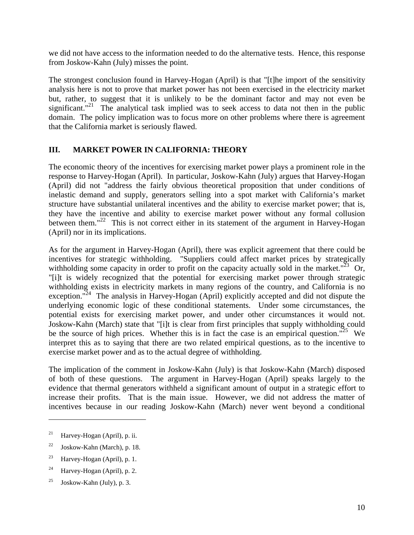we did not have access to the information needed to do the alternative tests. Hence, this response from Joskow-Kahn (July) misses the point.

The strongest conclusion found in Harvey-Hogan (April) is that "[t]he import of the sensitivity analysis here is not to prove that market power has not been exercised in the electricity market but, rather, to suggest that it is unlikely to be the dominant factor and may not even be significant."<sup>21</sup> The analytical task implied was to seek access to data not then in the public domain. The policy implication was to focus more on other problems where there is agreement that the California market is seriously flawed.

### **III. MARKET POWER IN CALIFORNIA: THEORY**

The economic theory of the incentives for exercising market power plays a prominent role in the response to Harvey-Hogan (April). In particular, Joskow-Kahn (July) argues that Harvey-Hogan (April) did not "address the fairly obvious theoretical proposition that under conditions of inelastic demand and supply, generators selling into a spot market with California's market structure have substantial unilateral incentives and the ability to exercise market power; that is, they have the incentive and ability to exercise market power without any formal collusion between them."<sup>22</sup> This is not correct either in its statement of the argument in Harvey-Hogan (April) nor in its implications.

As for the argument in Harvey-Hogan (April), there was explicit agreement that there could be incentives for strategic withholding. "Suppliers could affect market prices by strategically withholding some capacity in order to profit on the capacity actually sold in the market." $^{23}$  Or, "[i]t is widely recognized that the potential for exercising market power through strategic withholding exists in electricity markets in many regions of the country, and California is no exception."<sup>24</sup> The analysis in Harvey-Hogan (April) explicitly accepted and did not dispute the underlying economic logic of these conditional statements. Under some circumstances, the potential exists for exercising market power, and under other circumstances it would not. Joskow-Kahn (March) state that "[i]t is clear from first principles that supply withholding could be the source of high prices. Whether this is in fact the case is an empirical question."<sup>25</sup> We interpret this as to saying that there are two related empirical questions, as to the incentive to exercise market power and as to the actual degree of withholding.

The implication of the comment in Joskow-Kahn (July) is that Joskow-Kahn (March) disposed of both of these questions. The argument in Harvey-Hogan (April) speaks largely to the evidence that thermal generators withheld a significant amount of output in a strategic effort to increase their profits. That is the main issue. However, we did not address the matter of incentives because in our reading Joskow-Kahn (March) never went beyond a conditional

<sup>&</sup>lt;sup>21</sup> Harvey-Hogan (April), p. ii.

<sup>&</sup>lt;sup>22</sup> Joskow-Kahn (March), p. 18.

<sup>&</sup>lt;sup>23</sup> Harvey-Hogan (April), p. 1.

 $24$  Harvey-Hogan (April), p. 2.

<sup>&</sup>lt;sup>25</sup> Joskow-Kahn (July), p. 3.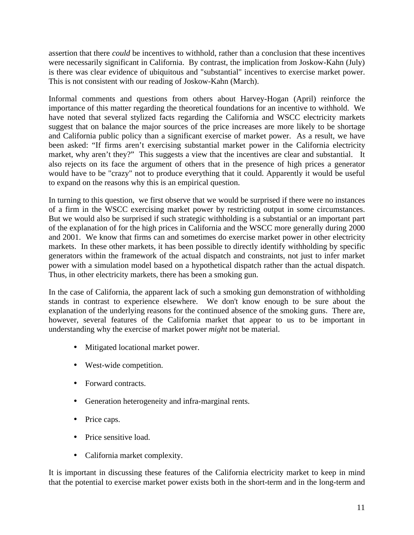assertion that there *could* be incentives to withhold, rather than a conclusion that these incentives were necessarily significant in California. By contrast, the implication from Joskow-Kahn (July) is there was clear evidence of ubiquitous and "substantial" incentives to exercise market power. This is not consistent with our reading of Joskow-Kahn (March).

Informal comments and questions from others about Harvey-Hogan (April) reinforce the importance of this matter regarding the theoretical foundations for an incentive to withhold. We have noted that several stylized facts regarding the California and WSCC electricity markets suggest that on balance the major sources of the price increases are more likely to be shortage and California public policy than a significant exercise of market power. As a result, we have been asked: "If firms aren't exercising substantial market power in the California electricity market, why aren't they?" This suggests a view that the incentives are clear and substantial. It also rejects on its face the argument of others that in the presence of high prices a generator would have to be "crazy" not to produce everything that it could. Apparently it would be useful to expand on the reasons why this is an empirical question.

In turning to this question, we first observe that we would be surprised if there were no instances of a firm in the WSCC exercising market power by restricting output in some circumstances. But we would also be surprised if such strategic withholding is a substantial or an important part of the explanation of for the high prices in California and the WSCC more generally during 2000 and 2001. We know that firms can and sometimes do exercise market power in other electricity markets. In these other markets, it has been possible to directly identify withholding by specific generators within the framework of the actual dispatch and constraints, not just to infer market power with a simulation model based on a hypothetical dispatch rather than the actual dispatch. Thus, in other electricity markets, there has been a smoking gun.

In the case of California, the apparent lack of such a smoking gun demonstration of withholding stands in contrast to experience elsewhere. We don't know enough to be sure about the explanation of the underlying reasons for the continued absence of the smoking guns. There are, however, several features of the California market that appear to us to be important in understanding why the exercise of market power *might* not be material.

- Mitigated locational market power.
- West-wide competition.
- Forward contracts.
- Generation heterogeneity and infra-marginal rents.
- Price caps.
- Price sensitive load.
- California market complexity.

It is important in discussing these features of the California electricity market to keep in mind that the potential to exercise market power exists both in the short-term and in the long-term and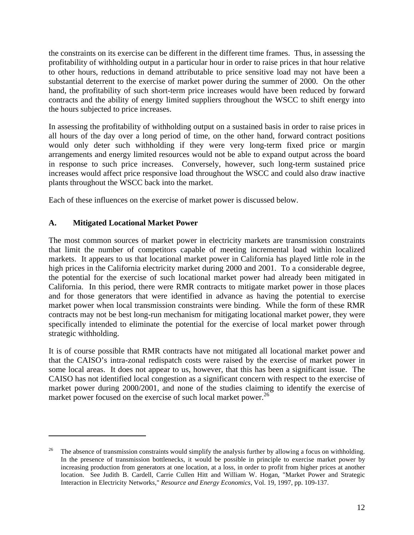the constraints on its exercise can be different in the different time frames. Thus, in assessing the profitability of withholding output in a particular hour in order to raise prices in that hour relative to other hours, reductions in demand attributable to price sensitive load may not have been a substantial deterrent to the exercise of market power during the summer of 2000. On the other hand, the profitability of such short-term price increases would have been reduced by forward contracts and the ability of energy limited suppliers throughout the WSCC to shift energy into the hours subjected to price increases.

In assessing the profitability of withholding output on a sustained basis in order to raise prices in all hours of the day over a long period of time, on the other hand, forward contract positions would only deter such withholding if they were very long-term fixed price or margin arrangements and energy limited resources would not be able to expand output across the board in response to such price increases. Conversely, however, such long-term sustained price increases would affect price responsive load throughout the WSCC and could also draw inactive plants throughout the WSCC back into the market.

Each of these influences on the exercise of market power is discussed below.

# **A. Mitigated Locational Market Power**

 $\overline{a}$ 

The most common sources of market power in electricity markets are transmission constraints that limit the number of competitors capable of meeting incremental load within localized markets. It appears to us that locational market power in California has played little role in the high prices in the California electricity market during 2000 and 2001. To a considerable degree, the potential for the exercise of such locational market power had already been mitigated in California. In this period, there were RMR contracts to mitigate market power in those places and for those generators that were identified in advance as having the potential to exercise market power when local transmission constraints were binding. While the form of these RMR contracts may not be best long-run mechanism for mitigating locational market power, they were specifically intended to eliminate the potential for the exercise of local market power through strategic withholding.

It is of course possible that RMR contracts have not mitigated all locational market power and that the CAISO's intra-zonal redispatch costs were raised by the exercise of market power in some local areas. It does not appear to us, however, that this has been a significant issue. The CAISO has not identified local congestion as a significant concern with respect to the exercise of market power during 2000/2001, and none of the studies claiming to identify the exercise of market power focused on the exercise of such local market power.<sup>26</sup>

<sup>26</sup> The absence of transmission constraints would simplify the analysis further by allowing a focus on withholding. In the presence of transmission bottlenecks, it would be possible in principle to exercise market power by increasing production from generators at one location, at a loss, in order to profit from higher prices at another location. See Judith B. Cardell, Carrie Cullen Hitt and William W. Hogan, "Market Power and Strategic Interaction in Electricity Networks," *Resource and Energy Economics*, Vol. 19, 1997, pp. 109-137.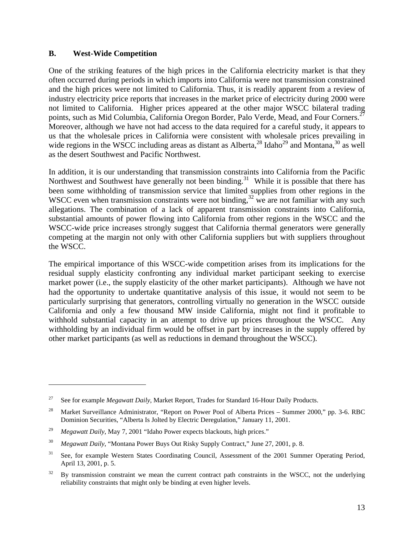### **B. West-Wide Competition**

One of the striking features of the high prices in the California electricity market is that they often occurred during periods in which imports into California were not transmission constrained and the high prices were not limited to California. Thus, it is readily apparent from a review of industry electricity price reports that increases in the market price of electricity during 2000 were not limited to California. Higher prices appeared at the other major WSCC bilateral trading points, such as Mid Columbia, California Oregon Border, Palo Verde, Mead, and Four Corners.<sup>27</sup> Moreover, although we have not had access to the data required for a careful study, it appears to us that the wholesale prices in California were consistent with wholesale prices prevailing in wide regions in the WSCC including areas as distant as Alberta,  $^{28}$  Idaho<sup>29</sup> and Montana,  $^{30}$  as well as the desert Southwest and Pacific Northwest.

In addition, it is our understanding that transmission constraints into California from the Pacific Northwest and Southwest have generally not been binding.<sup>31</sup> While it is possible that there has been some withholding of transmission service that limited supplies from other regions in the WSCC even when transmission constraints were not binding,  $32 \text{ kg}$  are not familiar with any such allegations. The combination of a lack of apparent transmission constraints into California, substantial amounts of power flowing into California from other regions in the WSCC and the WSCC-wide price increases strongly suggest that California thermal generators were generally competing at the margin not only with other California suppliers but with suppliers throughout the WSCC.

The empirical importance of this WSCC-wide competition arises from its implications for the residual supply elasticity confronting any individual market participant seeking to exercise market power (i.e., the supply elasticity of the other market participants). Although we have not had the opportunity to undertake quantitative analysis of this issue, it would not seem to be particularly surprising that generators, controlling virtually no generation in the WSCC outside California and only a few thousand MW inside California, might not find it profitable to withhold substantial capacity in an attempt to drive up prices throughout the WSCC. Any withholding by an individual firm would be offset in part by increases in the supply offered by other market participants (as well as reductions in demand throughout the WSCC).

1

<sup>27</sup> See for example *Megawatt Daily*, Market Report, Trades for Standard 16-Hour Daily Products.

<sup>&</sup>lt;sup>28</sup> Market Surveillance Administrator, "Report on Power Pool of Alberta Prices – Summer 2000," pp. 3-6. RBC Dominion Securities, "Alberta Is Jolted by Electric Deregulation," January 11, 2001.

<sup>29</sup> *Megawatt Daily*, May 7, 2001 "Idaho Power expects blackouts, high prices."

<sup>30</sup> *Megawatt Daily*, "Montana Power Buys Out Risky Supply Contract," June 27, 2001, p. 8.

<sup>&</sup>lt;sup>31</sup> See, for example Western States Coordinating Council, Assessment of the 2001 Summer Operating Period, April 13, 2001, p. 5.

 $32$  By transmission constraint we mean the current contract path constraints in the WSCC, not the underlying reliability constraints that might only be binding at even higher levels.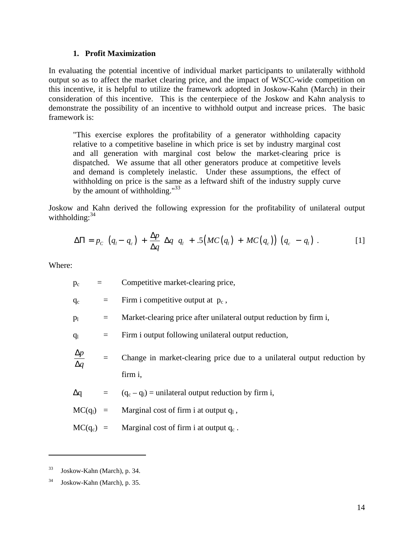#### **1. Profit Maximization**

In evaluating the potential incentive of individual market participants to unilaterally withhold output so as to affect the market clearing price, and the impact of WSCC-wide competition on this incentive, it is helpful to utilize the framework adopted in Joskow-Kahn (March) in their consideration of this incentive. This is the centerpiece of the Joskow and Kahn analysis to demonstrate the possibility of an incentive to withhold output and increase prices. The basic framework is:

"This exercise explores the profitability of a generator withholding capacity relative to a competitive baseline in which price is set by industry marginal cost and all generation with marginal cost below the market-clearing price is dispatched. We assume that all other generators produce at competitive levels and demand is completely inelastic. Under these assumptions, the effect of withholding on price is the same as a leftward shift of the industry supply curve by the amount of withholding." $33$ 

Joskow and Kahn derived the following expression for the profitability of unilateral output withholding:  $34$ 

$$
\Delta\Pi = p_c \left( q_i - q_c \right) + \frac{\Delta p}{\Delta q} \Delta q \ q_i + .5 \big( MC(q_i) + MC(q_c) \big) \left( q_c - q_i \right) . \tag{1}
$$

Where:

 $p_c$  = Competitive market-clearing price,

 $q_c$  = Firm i competitive output at  $p_c$ ,

 $p_1$  = Market-clearing price after unilateral output reduction by firm i,

 $q_1$  = Firm i output following unilateral output reduction,

*q* Δ *p* Δ = Change in market-clearing price due to a unilateral output reduction by firm i,

 $\Delta q = (q_c - q_l) =$  unilateral output reduction by firm i,

 $MC(q_1) =$  Marginal cost of firm i at output  $q_1$ ,

 $MC(q_c)$  = Marginal cost of firm i at output  $q_c$ .

<sup>33</sup> Joskow-Kahn (March), p. 34.

 $34$  Joskow-Kahn (March), p. 35.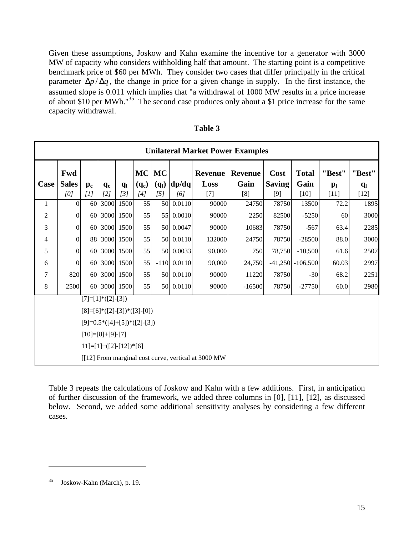Given these assumptions, Joskow and Kahn examine the incentive for a generator with 3000 MW of capacity who considers withholding half that amount. The starting point is a competitive benchmark price of \$60 per MWh. They consider two cases that differ principally in the critical parameter  $\Delta p / \Delta q$ , the change in price for a given change in supply. In the first instance, the assumed slope is 0.011 which implies that "a withdrawal of 1000 MW results in a price increase of about \$10 per MWh."<sup>35</sup> The second case produces only about a \$1 price increase for the same capacity withdrawal.

| <b>Unilateral Market Power Examples</b>             |                                 |                      |                                    |                |         |           |           |                |                |               |                      |                |                |
|-----------------------------------------------------|---------------------------------|----------------------|------------------------------------|----------------|---------|-----------|-----------|----------------|----------------|---------------|----------------------|----------------|----------------|
|                                                     | Fwd                             |                      |                                    |                |         | $MC$ $MC$ |           | <b>Revenue</b> | <b>Revenue</b> | Cost          | <b>Total</b>         | "Best"         | "Best"         |
| Case                                                | <b>Sales</b>                    | $\mathbf{p}_{\rm c}$ | $q_c$                              | q <sub>l</sub> | $(q_c)$ | $(q_l)$   | dp/dq     | Loss           | Gain           | <b>Saving</b> | Gain                 | p <sub>l</sub> | q <sub>l</sub> |
|                                                     | [0]                             | [1]                  | [2]                                | [3]            | [4]     | [5]       | [6]       | $[7]$          | [8]            | [9]           | $[10]$               | $[11]$         | $[12]$         |
| $\mathbf{1}$                                        | $\Omega$                        | 60                   | 3000                               | 1500           | 55      | 50        | 0.0110    | 90000          | 24750          | 78750         | 13500                | 72.2           | 1895           |
| 2                                                   | $\mathbf{0}$                    | <b>60</b>            |                                    | 3000 1500      | 55      | 55        | 0.0010    | 90000          | 2250           | 82500         | $-5250$              | 60             | 3000           |
| 3                                                   | $\mathbf{0}$                    | <b>60</b>            |                                    | 3000 1500      | 55      | 50        | 0.0047    | 90000          | 10683          | 78750         | $-567$               | 63.4           | 2285           |
| 4                                                   | $\boldsymbol{0}$                | 88                   |                                    | 3000 1500      | 55      | 50        | 0.0110    | 132000         | 24750          | 78750         | $-28500$             | 88.0           | 3000           |
| 5                                                   | $\mathbf{0}$                    | 60                   |                                    | 3000 1500      | 55      | 50        | 0.0033    | 90,000         | 750            | 78,750        | $-10,500$            | 61.6           | 2507           |
| 6                                                   | $\overline{0}$                  | 60                   |                                    | 3000 1500      | 55      | $-110$    | 0.0110    | 90,000         | 24,750         |               | $-41,250$ $-106,500$ | 60.03          | 2997           |
| 7                                                   | 820                             | <b>60</b>            |                                    | 3000 1500      | 55      | 50        | 0.0110    | 90000          | 11220          | 78750         | $-30$                | 68.2           | 2251           |
| 8                                                   | 2500                            |                      | 60 3000 1500                       |                | 55      |           | 50 0.0110 | 90000          | $-16500$       | 78750         | $-27750$             | 60.0           | 2980           |
|                                                     |                                 |                      | $[7]=[1]$ <sup>*</sup> $([2]-[3])$ |                |         |           |           |                |                |               |                      |                |                |
|                                                     | $[8]=[6]^*([2]-[3])^*([3]-[0])$ |                      |                                    |                |         |           |           |                |                |               |                      |                |                |
| $[9]=0.5*([4]+[5])*([2]-[3])$                       |                                 |                      |                                    |                |         |           |           |                |                |               |                      |                |                |
|                                                     | $[10]=[8]+[9]-[7]$              |                      |                                    |                |         |           |           |                |                |               |                      |                |                |
|                                                     | $11]=[1]+([2]-[12])*[6]$        |                      |                                    |                |         |           |           |                |                |               |                      |                |                |
| [[12] From marginal cost curve, vertical at 3000 MW |                                 |                      |                                    |                |         |           |           |                |                |               |                      |                |                |

**Table 3**

Table 3 repeats the calculations of Joskow and Kahn with a few additions. First, in anticipation of further discussion of the framework, we added three columns in [0], [11], [12], as discussed below. Second, we added some additional sensitivity analyses by considering a few different cases.

<sup>35</sup> Joskow-Kahn (March), p. 19.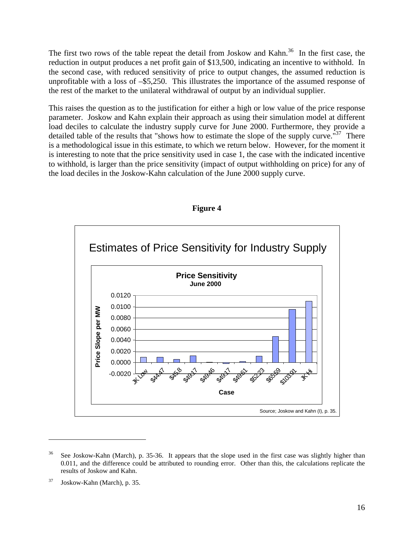The first two rows of the table repeat the detail from Joskow and Kahn.<sup>36</sup> In the first case, the reduction in output produces a net profit gain of \$13,500, indicating an incentive to withhold. In the second case, with reduced sensitivity of price to output changes, the assumed reduction is unprofitable with a loss of –\$5,250. This illustrates the importance of the assumed response of the rest of the market to the unilateral withdrawal of output by an individual supplier.

This raises the question as to the justification for either a high or low value of the price response parameter. Joskow and Kahn explain their approach as using their simulation model at different load deciles to calculate the industry supply curve for June 2000. Furthermore, they provide a detailed table of the results that "shows how to estimate the slope of the supply curve."<sup>37</sup> There is a methodological issue in this estimate, to which we return below. However, for the moment it is interesting to note that the price sensitivity used in case 1, the case with the indicated incentive to withhold, is larger than the price sensitivity (impact of output withholding on price) for any of the load deciles in the Joskow-Kahn calculation of the June 2000 supply curve.



### **Figure 4**

<sup>&</sup>lt;sup>36</sup> See Joskow-Kahn (March), p. 35-36. It appears that the slope used in the first case was slightly higher than 0.011, and the difference could be attributed to rounding error. Other than this, the calculations replicate the results of Joskow and Kahn.

<sup>37</sup> Joskow-Kahn (March), p. 35.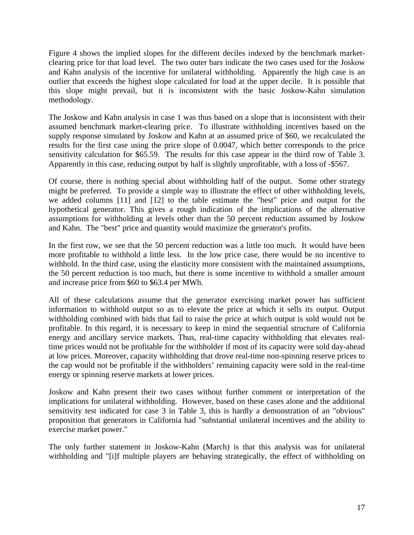Figure 4 shows the implied slopes for the different deciles indexed by the benchmark marketclearing price for that load level. The two outer bars indicate the two cases used for the Joskow and Kahn analysis of the incentive for unilateral withholding. Apparently the high case is an outlier that exceeds the highest slope calculated for load at the upper decile. It is possible that this slope might prevail, but it is inconsistent with the basic Joskow-Kahn simulation methodology.

The Joskow and Kahn analysis in case 1 was thus based on a slope that is inconsistent with their assumed benchmark market-clearing price. To illustrate withholding incentives based on the supply response simulated by Joskow and Kahn at an assumed price of \$60, we recalculated the results for the first case using the price slope of 0.0047, which better corresponds to the price sensitivity calculation for \$65.59. The results for this case appear in the third row of Table 3. Apparently in this case, reducing output by half is slightly unprofitable, with a loss of -\$567.

Of course, there is nothing special about withholding half of the output. Some other strategy might be preferred. To provide a simple way to illustrate the effect of other withholding levels, we added columns [11] and [12] to the table estimate the "best" price and output for the hypothetical generator. This gives a rough indication of the implications of the alternative assumptions for withholding at levels other than the 50 percent reduction assumed by Joskow and Kahn. The "best" price and quantity would maximize the generator's profits.

In the first row, we see that the 50 percent reduction was a little too much. It would have been more profitable to withhold a little less. In the low price case, there would be no incentive to withhold. In the third case, using the elasticity more consistent with the maintained assumptions, the 50 percent reduction is too much, but there is some incentive to withhold a smaller amount and increase price from \$60 to \$63.4 per MWh.

All of these calculations assume that the generator exercising market power has sufficient information to withhold output so as to elevate the price at which it sells its output. Output withholding combined with bids that fail to raise the price at which output is sold would not be profitable. In this regard, it is necessary to keep in mind the sequential structure of California energy and ancillary service markets. Thus, real-time capacity withholding that elevates realtime prices would not be profitable for the withholder if most of its capacity were sold day-ahead at low prices. Moreover, capacity withholding that drove real-time non-spinning reserve prices to the cap would not be profitable if the withholders' remaining capacity were sold in the real-time energy or spinning reserve markets at lower prices.

Joskow and Kahn present their two cases without further comment or interpretation of the implications for unilateral withholding. However, based on these cases alone and the additional sensitivity test indicated for case 3 in Table 3, this is hardly a demonstration of an "obvious" proposition that generators in California had "substantial unilateral incentives and the ability to exercise market power."

The only further statement in Joskow-Kahn (March) is that this analysis was for unilateral withholding and "[i]f multiple players are behaving strategically, the effect of withholding on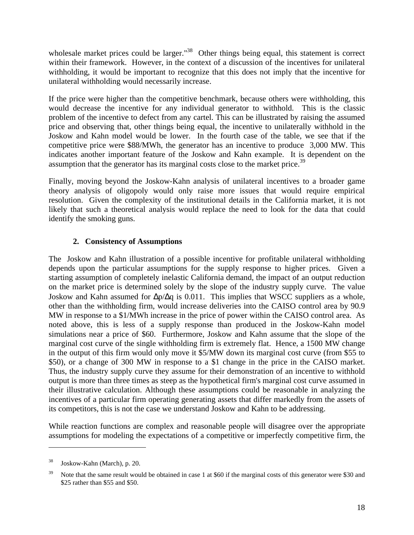wholesale market prices could be larger.<sup>"38</sup> Other things being equal, this statement is correct within their framework. However, in the context of a discussion of the incentives for unilateral withholding, it would be important to recognize that this does not imply that the incentive for unilateral withholding would necessarily increase.

If the price were higher than the competitive benchmark, because others were withholding, this would decrease the incentive for any individual generator to withhold. This is the classic problem of the incentive to defect from any cartel. This can be illustrated by raising the assumed price and observing that, other things being equal, the incentive to unilaterally withhold in the Joskow and Kahn model would be lower. In the fourth case of the table, we see that if the competitive price were \$88/MWh, the generator has an incentive to produce 3,000 MW. This indicates another important feature of the Joskow and Kahn example. It is dependent on the assumption that the generator has its marginal costs close to the market price.<sup>39</sup>

Finally, moving beyond the Joskow-Kahn analysis of unilateral incentives to a broader game theory analysis of oligopoly would only raise more issues that would require empirical resolution. Given the complexity of the institutional details in the California market, it is not likely that such a theoretical analysis would replace the need to look for the data that could identify the smoking guns.

# **2. Consistency of Assumptions**

The Joskow and Kahn illustration of a possible incentive for profitable unilateral withholding depends upon the particular assumptions for the supply response to higher prices. Given a starting assumption of completely inelastic California demand, the impact of an output reduction on the market price is determined solely by the slope of the industry supply curve. The value Joskow and Kahn assumed for  $\Delta p/\Delta q$  is 0.011. This implies that WSCC suppliers as a whole, other than the withholding firm, would increase deliveries into the CAISO control area by 90.9 MW in response to a \$1/MWh increase in the price of power within the CAISO control area. As noted above, this is less of a supply response than produced in the Joskow-Kahn model simulations near a price of \$60. Furthermore, Joskow and Kahn assume that the slope of the marginal cost curve of the single withholding firm is extremely flat. Hence, a 1500 MW change in the output of this firm would only move it \$5/MW down its marginal cost curve (from \$55 to \$50), or a change of 300 MW in response to a \$1 change in the price in the CAISO market. Thus, the industry supply curve they assume for their demonstration of an incentive to withhold output is more than three times as steep as the hypothetical firm's marginal cost curve assumed in their illustrative calculation. Although these assumptions could be reasonable in analyzing the incentives of a particular firm operating generating assets that differ markedly from the assets of its competitors, this is not the case we understand Joskow and Kahn to be addressing.

While reaction functions are complex and reasonable people will disagree over the appropriate assumptions for modeling the expectations of a competitive or imperfectly competitive firm, the

<sup>38</sup> Joskow-Kahn (March), p. 20.

 $39$  Note that the same result would be obtained in case 1 at \$60 if the marginal costs of this generator were \$30 and \$25 rather than \$55 and \$50.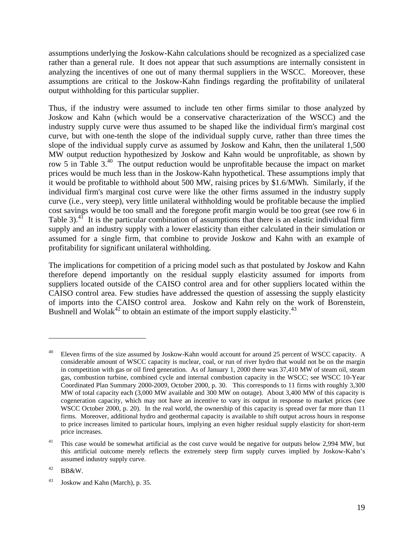assumptions underlying the Joskow-Kahn calculations should be recognized as a specialized case rather than a general rule. It does not appear that such assumptions are internally consistent in analyzing the incentives of one out of many thermal suppliers in the WSCC. Moreover, these assumptions are critical to the Joskow-Kahn findings regarding the profitability of unilateral output withholding for this particular supplier.

Thus, if the industry were assumed to include ten other firms similar to those analyzed by Joskow and Kahn (which would be a conservative characterization of the WSCC) and the industry supply curve were thus assumed to be shaped like the individual firm's marginal cost curve, but with one-tenth the slope of the individual supply curve, rather than three times the slope of the individual supply curve as assumed by Joskow and Kahn, then the unilateral 1,500 MW output reduction hypothesized by Joskow and Kahn would be unprofitable, as shown by row 5 in Table 3.<sup>40</sup> The output reduction would be unprofitable because the impact on market prices would be much less than in the Joskow-Kahn hypothetical. These assumptions imply that it would be profitable to withhold about 500 MW, raising prices by \$1.6/MWh. Similarly, if the individual firm's marginal cost curve were like the other firms assumed in the industry supply curve (i.e., very steep), very little unilateral withholding would be profitable because the implied cost savings would be too small and the foregone profit margin would be too great (see row 6 in Table 3).<sup>41</sup> It is the particular combination of assumptions that there is an elastic individual firm supply and an industry supply with a lower elasticity than either calculated in their simulation or assumed for a single firm, that combine to provide Joskow and Kahn with an example of profitability for significant unilateral withholding.

The implications for competition of a pricing model such as that postulated by Joskow and Kahn therefore depend importantly on the residual supply elasticity assumed for imports from suppliers located outside of the CAISO control area and for other suppliers located within the CAISO control area. Few studies have addressed the question of assessing the supply elasticity of imports into the CAISO control area. Joskow and Kahn rely on the work of Borenstein, Bushnell and Wolak $42$  to obtain an estimate of the import supply elasticity.<sup>43</sup>

Eleven firms of the size assumed by Joskow-Kahn would account for around 25 percent of WSCC capacity. A considerable amount of WSCC capacity is nuclear, coal, or run of river hydro that would not be on the margin in competition with gas or oil fired generation. As of January 1, 2000 there was 37,410 MW of steam oil, steam gas, combustion turbine, combined cycle and internal combustion capacity in the WSCC; see WSCC 10-Year Coordinated Plan Summary 2000-2009, October 2000, p. 30. This corresponds to 11 firms with roughly 3,300 MW of total capacity each (3,000 MW available and 300 MW on outage). About 3,400 MW of this capacity is cogeneration capacity, which may not have an incentive to vary its output in response to market prices (see WSCC October 2000, p. 20). In the real world, the ownership of this capacity is spread over far more than 11 firms. Moreover, additional hydro and geothermal capacity is available to shift output across hours in response to price increases limited to particular hours, implying an even higher residual supply elasticity for short-term price increases.

<sup>&</sup>lt;sup>41</sup> This case would be somewhat artificial as the cost curve would be negative for outputs below 2,994 MW, but this artificial outcome merely reflects the extremely steep firm supply curves implied by Joskow-Kahn's assumed industry supply curve.

 $42$  BB&W.

<sup>43</sup> Joskow and Kahn (March), p. 35.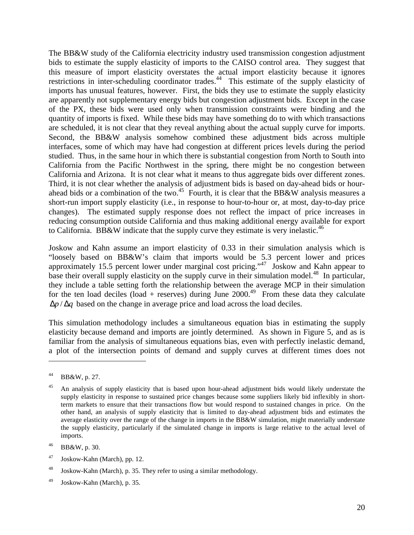The BB&W study of the California electricity industry used transmission congestion adjustment bids to estimate the supply elasticity of imports to the CAISO control area. They suggest that this measure of import elasticity overstates the actual import elasticity because it ignores restrictions in inter-scheduling coordinator trades.<sup>44</sup> This estimate of the supply elasticity of imports has unusual features, however. First, the bids they use to estimate the supply elasticity are apparently not supplementary energy bids but congestion adjustment bids. Except in the case of the PX, these bids were used only when transmission constraints were binding and the quantity of imports is fixed. While these bids may have something do to with which transactions are scheduled, it is not clear that they reveal anything about the actual supply curve for imports. Second, the BB&W analysis somehow combined these adjustment bids across multiple interfaces, some of which may have had congestion at different prices levels during the period studied. Thus, in the same hour in which there is substantial congestion from North to South into California from the Pacific Northwest in the spring, there might be no congestion between California and Arizona. It is not clear what it means to thus aggregate bids over different zones. Third, it is not clear whether the analysis of adjustment bids is based on day-ahead bids or hourahead bids or a combination of the two.<sup>45</sup> Fourth, it is clear that the BB&W analysis measures a short-run import supply elasticity (i.e., in response to hour-to-hour or, at most, day-to-day price changes). The estimated supply response does not reflect the impact of price increases in reducing consumption outside California and thus making additional energy available for export to California. BB&W indicate that the supply curve they estimate is very inelastic.<sup>46</sup>

Joskow and Kahn assume an import elasticity of 0.33 in their simulation analysis which is "loosely based on BB&W's claim that imports would be 5.3 percent lower and prices approximately 15.5 percent lower under marginal cost pricing."<sup>47</sup> Joskow and Kahn appear to base their overall supply elasticity on the supply curve in their simulation model.<sup>48</sup> In particular, they include a table setting forth the relationship between the average MCP in their simulation for the ten load deciles (load + reserves) during June  $2000^{49}$  From these data they calculate  $\Delta p / \Delta q$  based on the change in average price and load across the load deciles.

This simulation methodology includes a simultaneous equation bias in estimating the supply elasticity because demand and imports are jointly determined. As shown in Figure 5, and as is familiar from the analysis of simultaneous equations bias, even with perfectly inelastic demand, a plot of the intersection points of demand and supply curves at different times does not

 $\overline{a}$ 

 $47$  Joskow-Kahn (March), pp. 12.

 $^{49}$  Joskow-Kahn (March), p. 35.

<sup>44</sup> BB&W, p. 27.

<sup>&</sup>lt;sup>45</sup> An analysis of supply elasticity that is based upon hour-ahead adjustment bids would likely understate the supply elasticity in response to sustained price changes because some suppliers likely bid inflexibly in shortterm markets to ensure that their transactions flow but would respond to sustained changes in price. On the other hand, an analysis of supply elasticity that is limited to day-ahead adjustment bids and estimates the average elasticity over the range of the change in imports in the BB&W simulation, might materially understate the supply elasticity, particularly if the simulated change in imports is large relative to the actual level of imports.

<sup>46</sup> BB&W, p. 30.

<sup>48</sup> Joskow-Kahn (March), p. 35. They refer to using a similar methodology.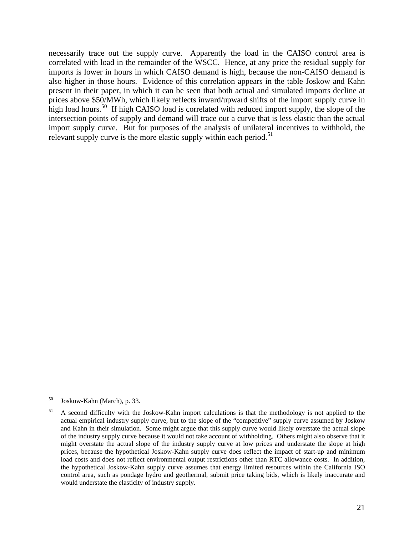necessarily trace out the supply curve. Apparently the load in the CAISO control area is correlated with load in the remainder of the WSCC. Hence, at any price the residual supply for imports is lower in hours in which CAISO demand is high, because the non-CAISO demand is also higher in those hours. Evidence of this correlation appears in the table Joskow and Kahn present in their paper, in which it can be seen that both actual and simulated imports decline at prices above \$50/MWh, which likely reflects inward/upward shifts of the import supply curve in high load hours.<sup>50</sup> If high CAISO load is correlated with reduced import supply, the slope of the intersection points of supply and demand will trace out a curve that is less elastic than the actual import supply curve. But for purposes of the analysis of unilateral incentives to withhold, the relevant supply curve is the more elastic supply within each period.<sup>51</sup>

<sup>50</sup> Joskow-Kahn (March), p. 33.

<sup>&</sup>lt;sup>51</sup> A second difficulty with the Joskow-Kahn import calculations is that the methodology is not applied to the actual empirical industry supply curve, but to the slope of the "competitive" supply curve assumed by Joskow and Kahn in their simulation. Some might argue that this supply curve would likely overstate the actual slope of the industry supply curve because it would not take account of withholding. Others might also observe that it might overstate the actual slope of the industry supply curve at low prices and understate the slope at high prices, because the hypothetical Joskow-Kahn supply curve does reflect the impact of start-up and minimum load costs and does not reflect environmental output restrictions other than RTC allowance costs. In addition, the hypothetical Joskow-Kahn supply curve assumes that energy limited resources within the California ISO control area, such as pondage hydro and geothermal, submit price taking bids, which is likely inaccurate and would understate the elasticity of industry supply.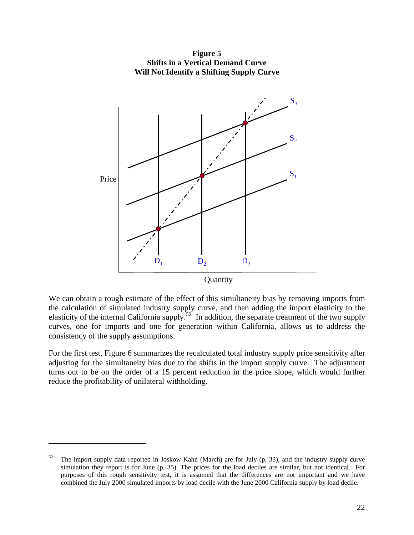

**Figure 5 Shifts in a Vertical Demand Curve Will Not Identify a Shifting Supply Curve**

We can obtain a rough estimate of the effect of this simultaneity bias by removing imports from the calculation of simulated industry supply curve, and then adding the import elasticity to the elasticity of the internal California supply.<sup>52</sup> In addition, the separate treatment of the two supply curves, one for imports and one for generation within California, allows us to address the consistency of the supply assumptions.

For the first test, Figure 6 summarizes the recalculated total industry supply price sensitivity after adjusting for the simultaneity bias due to the shifts in the import supply curve. The adjustment turns out to be on the order of a 15 percent reduction in the price slope, which would further reduce the profitability of unilateral withholding.

1

 $52$  The import supply data reported in Joskow-Kahn (March) are for July (p. 33), and the industry supply curve simulation they report is for June (p. 35). The prices for the load deciles are similar, but not identical. For purposes of this rough sensitivity test, it is assumed that the differences are not important and we have combined the July 2000 simulated imports by load decile with the June 2000 California supply by load decile.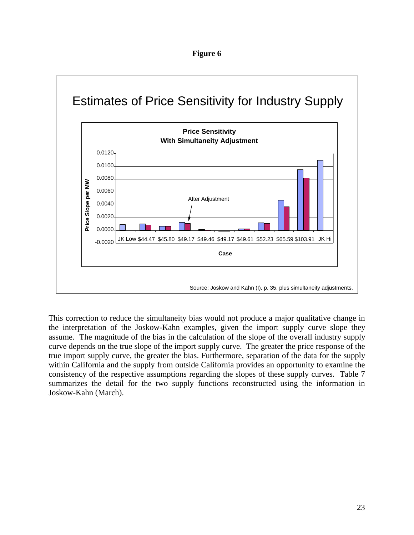



This correction to reduce the simultaneity bias would not produce a major qualitative change in the interpretation of the Joskow-Kahn examples, given the import supply curve slope they assume. The magnitude of the bias in the calculation of the slope of the overall industry supply curve depends on the true slope of the import supply curve. The greater the price response of the true import supply curve, the greater the bias. Furthermore, separation of the data for the supply within California and the supply from outside California provides an opportunity to examine the consistency of the respective assumptions regarding the slopes of these supply curves. Table 7 summarizes the detail for the two supply functions reconstructed using the information in Joskow-Kahn (March).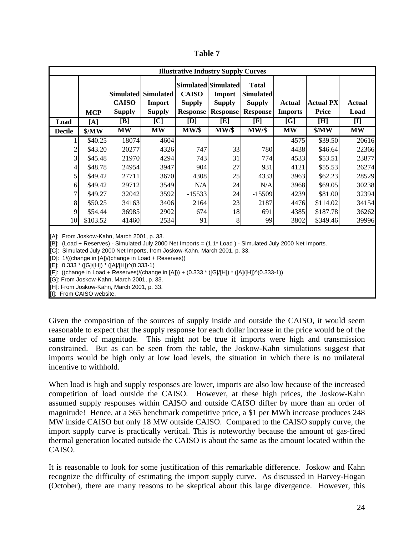| ۱<br>L<br>M.<br>I |  |
|-------------------|--|
|-------------------|--|

| <b>Illustrative Industry Supply Curves</b> |            |                               |                                                       |                                                  |                                                                   |                                                                      |                          |                                  |                       |  |  |
|--------------------------------------------|------------|-------------------------------|-------------------------------------------------------|--------------------------------------------------|-------------------------------------------------------------------|----------------------------------------------------------------------|--------------------------|----------------------------------|-----------------------|--|--|
|                                            | <b>MCP</b> | <b>CAISO</b><br><b>Supply</b> | <b>Simulated</b> Simulated<br>Import<br><b>Supply</b> | <b>CAISO</b><br><b>Supply</b><br><b>Response</b> | Simulated Simulated<br>Import<br><b>Supply</b><br><b>Response</b> | <b>Total</b><br><b>Simulated</b><br><b>Supply</b><br><b>Response</b> | Actual<br><b>Imports</b> | <b>Actual PX</b><br><b>Price</b> | <b>Actual</b><br>Load |  |  |
| Load                                       | [A]        | $[\mathbf{B}]$                | [C]                                                   | [D]                                              | [E]                                                               | [F]                                                                  | [G]                      | [H]                              | $[1]$                 |  |  |
| <b>Decile</b>                              | \$/MW      | <b>MW</b>                     | <b>MW</b>                                             | $MW/\$                                           | MW/s                                                              | $MW/\$                                                               | <b>MW</b>                | \$/MW                            | <b>MW</b>             |  |  |
|                                            | \$40.25    | 18074                         | 4604                                                  |                                                  |                                                                   |                                                                      | 4575                     | \$39.50                          | 20616                 |  |  |
| $\mathbf{2}$                               | \$43.20    | 20277                         | 4326                                                  | 747                                              | 33                                                                | 780                                                                  | 4438                     | \$46.64]                         | 22366                 |  |  |
| $\overline{3}$                             | \$45.48    | 21970                         | 4294                                                  | 743                                              | 31                                                                | 774                                                                  | 4533                     | \$53.51                          | 23877                 |  |  |
| $\overline{4}$                             | \$48.78    | 24954                         | 3947                                                  | 904                                              | 27                                                                | 931                                                                  | 4121                     | \$55.53                          | 26274                 |  |  |
| $\overline{5}$                             | \$49.42]   | 27711                         | 3670                                                  | 4308                                             | 25                                                                | 4333                                                                 | 3963                     | \$62.23                          | 28529                 |  |  |
| 6                                          | \$49.42    | 29712                         | 3549                                                  | N/A                                              | 24                                                                | N/A                                                                  | 3968                     | \$69.05                          | 30238                 |  |  |
| 7                                          | \$49.27    | 32042                         | 3592                                                  | $-15533$                                         | 24                                                                | $-15509$                                                             | 4239                     | \$81.00                          | 32394                 |  |  |
| 8                                          | \$50.25    | 34163                         | 3406                                                  | 2164                                             | 23                                                                | 2187                                                                 | 4476                     | \$114.02                         | 34154                 |  |  |
| 9                                          | \$54.44    | 36985                         | 2902                                                  | 674                                              | 18                                                                | 691                                                                  | 4385                     | \$187.78                         | 36262                 |  |  |
| 10                                         | \$103.52   | 41460                         | 2534                                                  | 91                                               | 8                                                                 | 99                                                                   | 3802                     | \$349.46                         | 39996                 |  |  |

[A]: From Joskow-Kahn, March 2001, p. 33.

[B]: (Load + Reserves) - Simulated July 2000 Net Imports = (1.1\* Load ) - Simulated July 2000 Net Imports.

[C]: Simulated July 2000 Net Imports, from Joskow-Kahn, March 2001, p. 33.

[D]: 1/((change in [A])/(change in Load + Reserves))

 $[E]$ : 0.333 \* ([G]/[H]) \* ([A]/[H])^(0.333-1)

[F]: ((change in Load + Reserves)/(change in [A])) + (0.333 \* ([G]/[H]) \* ([A]/[H])^(0.333-1))

[G]: From Joskow-Kahn, March 2001, p. 33.

[H]: From Joskow-Kahn, March 2001, p. 33.

[I]: From CAISO website.

Given the composition of the sources of supply inside and outside the CAISO, it would seem reasonable to expect that the supply response for each dollar increase in the price would be of the same order of magnitude. This might not be true if imports were high and transmission constrained. But as can be seen from the table, the Joskow-Kahn simulations suggest that imports would be high only at low load levels, the situation in which there is no unilateral incentive to withhold.

When load is high and supply responses are lower, imports are also low because of the increased competition of load outside the CAISO. However, at these high prices, the Joskow-Kahn assumed supply responses within CAISO and outside CAISO differ by more than an order of magnitude! Hence, at a \$65 benchmark competitive price, a \$1 per MWh increase produces 248 MW inside CAISO but only 18 MW outside CAISO. Compared to the CAISO supply curve, the import supply curve is practically vertical. This is noteworthy because the amount of gas-fired thermal generation located outside the CAISO is about the same as the amount located within the CAISO.

It is reasonable to look for some justification of this remarkable difference. Joskow and Kahn recognize the difficulty of estimating the import supply curve. As discussed in Harvey-Hogan (October), there are many reasons to be skeptical about this large divergence. However, this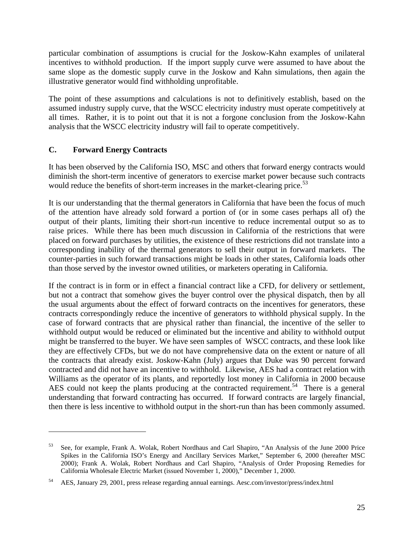particular combination of assumptions is crucial for the Joskow-Kahn examples of unilateral incentives to withhold production. If the import supply curve were assumed to have about the same slope as the domestic supply curve in the Joskow and Kahn simulations, then again the illustrative generator would find withholding unprofitable.

The point of these assumptions and calculations is not to definitively establish, based on the assumed industry supply curve, that the WSCC electricity industry must operate competitively at all times. Rather, it is to point out that it is not a forgone conclusion from the Joskow-Kahn analysis that the WSCC electricity industry will fail to operate competitively.

# **C. Forward Energy Contracts**

 $\overline{a}$ 

It has been observed by the California ISO, MSC and others that forward energy contracts would diminish the short-term incentive of generators to exercise market power because such contracts would reduce the benefits of short-term increases in the market-clearing price.<sup>53</sup>

It is our understanding that the thermal generators in California that have been the focus of much of the attention have already sold forward a portion of (or in some cases perhaps all of) the output of their plants, limiting their short-run incentive to reduce incremental output so as to raise prices. While there has been much discussion in California of the restrictions that were placed on forward purchases by utilities, the existence of these restrictions did not translate into a corresponding inability of the thermal generators to sell their output in forward markets. The counter-parties in such forward transactions might be loads in other states, California loads other than those served by the investor owned utilities, or marketers operating in California.

If the contract is in form or in effect a financial contract like a CFD, for delivery or settlement, but not a contract that somehow gives the buyer control over the physical dispatch, then by all the usual arguments about the effect of forward contracts on the incentives for generators, these contracts correspondingly reduce the incentive of generators to withhold physical supply. In the case of forward contracts that are physical rather than financial, the incentive of the seller to withhold output would be reduced or eliminated but the incentive and ability to withhold output might be transferred to the buyer. We have seen samples of WSCC contracts, and these look like they are effectively CFDs, but we do not have comprehensive data on the extent or nature of all the contracts that already exist. Joskow-Kahn (July) argues that Duke was 90 percent forward contracted and did not have an incentive to withhold. Likewise, AES had a contract relation with Williams as the operator of its plants, and reportedly lost money in California in 2000 because AES could not keep the plants producing at the contracted requirement.<sup>54</sup> There is a general understanding that forward contracting has occurred. If forward contracts are largely financial, then there is less incentive to withhold output in the short-run than has been commonly assumed.

<sup>53</sup> See, for example, Frank A. Wolak, Robert Nordhaus and Carl Shapiro, "An Analysis of the June 2000 Price Spikes in the California ISO's Energy and Ancillary Services Market," September 6, 2000 (hereafter MSC 2000); Frank A. Wolak, Robert Nordhaus and Carl Shapiro, "Analysis of Order Proposing Remedies for California Wholesale Electric Market (issued November 1, 2000)," December 1, 2000.

<sup>54</sup> AES, January 29, 2001, press release regarding annual earnings. Aesc.com/investor/press/index.html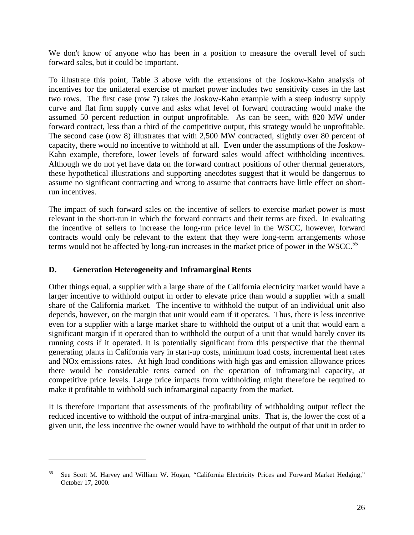We don't know of anyone who has been in a position to measure the overall level of such forward sales, but it could be important.

To illustrate this point, Table 3 above with the extensions of the Joskow-Kahn analysis of incentives for the unilateral exercise of market power includes two sensitivity cases in the last two rows. The first case (row 7) takes the Joskow-Kahn example with a steep industry supply curve and flat firm supply curve and asks what level of forward contracting would make the assumed 50 percent reduction in output unprofitable. As can be seen, with 820 MW under forward contract, less than a third of the competitive output, this strategy would be unprofitable. The second case (row 8) illustrates that with 2,500 MW contracted, slightly over 80 percent of capacity, there would no incentive to withhold at all. Even under the assumptions of the Joskow-Kahn example, therefore, lower levels of forward sales would affect withholding incentives. Although we do not yet have data on the forward contract positions of other thermal generators, these hypothetical illustrations and supporting anecdotes suggest that it would be dangerous to assume no significant contracting and wrong to assume that contracts have little effect on shortrun incentives.

The impact of such forward sales on the incentive of sellers to exercise market power is most relevant in the short-run in which the forward contracts and their terms are fixed. In evaluating the incentive of sellers to increase the long-run price level in the WSCC, however, forward contracts would only be relevant to the extent that they were long-term arrangements whose terms would not be affected by long-run increases in the market price of power in the WSCC.<sup>55</sup>

### **D. Generation Heterogeneity and Inframarginal Rents**

 $\overline{a}$ 

Other things equal, a supplier with a large share of the California electricity market would have a larger incentive to withhold output in order to elevate price than would a supplier with a small share of the California market. The incentive to withhold the output of an individual unit also depends, however, on the margin that unit would earn if it operates. Thus, there is less incentive even for a supplier with a large market share to withhold the output of a unit that would earn a significant margin if it operated than to withhold the output of a unit that would barely cover its running costs if it operated. It is potentially significant from this perspective that the thermal generating plants in California vary in start-up costs, minimum load costs, incremental heat rates and NOx emissions rates. At high load conditions with high gas and emission allowance prices there would be considerable rents earned on the operation of inframarginal capacity, at competitive price levels. Large price impacts from withholding might therefore be required to make it profitable to withhold such inframarginal capacity from the market.

It is therefore important that assessments of the profitability of withholding output reflect the reduced incentive to withhold the output of infra-marginal units. That is, the lower the cost of a given unit, the less incentive the owner would have to withhold the output of that unit in order to

<sup>55</sup> See Scott M. Harvey and William W. Hogan, "California Electricity Prices and Forward Market Hedging," October 17, 2000.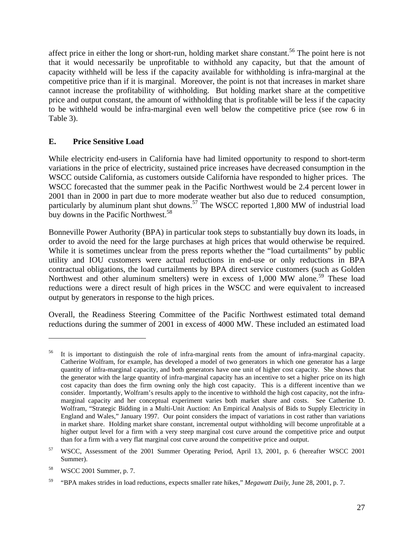affect price in either the long or short-run, holding market share constant.<sup>56</sup> The point here is not that it would necessarily be unprofitable to withhold any capacity, but that the amount of capacity withheld will be less if the capacity available for withholding is infra-marginal at the competitive price than if it is marginal. Moreover, the point is not that increases in market share cannot increase the profitability of withholding. But holding market share at the competitive price and output constant, the amount of withholding that is profitable will be less if the capacity to be withheld would be infra-marginal even well below the competitive price (see row 6 in Table 3).

### **E. Price Sensitive Load**

While electricity end-users in California have had limited opportunity to respond to short-term variations in the price of electricity, sustained price increases have decreased consumption in the WSCC outside California, as customers outside California have responded to higher prices. The WSCC forecasted that the summer peak in the Pacific Northwest would be 2.4 percent lower in 2001 than in 2000 in part due to more moderate weather but also due to reduced consumption, particularly by aluminum plant shut downs.<sup>57</sup> The WSCC reported 1,800 MW of industrial load buy downs in the Pacific Northwest.<sup>58</sup>

Bonneville Power Authority (BPA) in particular took steps to substantially buy down its loads, in order to avoid the need for the large purchases at high prices that would otherwise be required. While it is sometimes unclear from the press reports whether the "load curtailments" by public utility and IOU customers were actual reductions in end-use or only reductions in BPA contractual obligations, the load curtailments by BPA direct service customers (such as Golden Northwest and other aluminum smelters) were in excess of 1,000 MW alone.<sup>59</sup> These load reductions were a direct result of high prices in the WSCC and were equivalent to increased output by generators in response to the high prices.

Overall, the Readiness Steering Committee of the Pacific Northwest estimated total demand reductions during the summer of 2001 in excess of 4000 MW. These included an estimated load

<sup>56</sup> It is important to distinguish the role of infra-marginal rents from the amount of infra-marginal capacity. Catherine Wolfram, for example, has developed a model of two generators in which one generator has a large quantity of infra-marginal capacity, and both generators have one unit of higher cost capacity. She shows that the generator with the large quantity of infra-marginal capacity has an incentive to set a higher price on its high cost capacity than does the firm owning only the high cost capacity. This is a different incentive than we consider. Importantly, Wolfram's results apply to the incentive to withhold the high cost capacity, not the inframarginal capacity and her conceptual experiment varies both market share and costs. See Catherine D. Wolfram, "Strategic Bidding in a Multi-Unit Auction: An Empirical Analysis of Bids to Supply Electricity in England and Wales," January 1997. Our point considers the impact of variations in cost rather than variations in market share. Holding market share constant, incremental output withholding will become unprofitable at a higher output level for a firm with a very steep marginal cost curve around the competitive price and output than for a firm with a very flat marginal cost curve around the competitive price and output.

<sup>57</sup> WSCC, Assessment of the 2001 Summer Operating Period, April 13, 2001, p. 6 (hereafter WSCC 2001 Summer).

<sup>58</sup> WSCC 2001 Summer, p. 7.

<sup>59</sup> "BPA makes strides in load reductions, expects smaller rate hikes," *Megawatt Daily*, June 28, 2001, p. 7.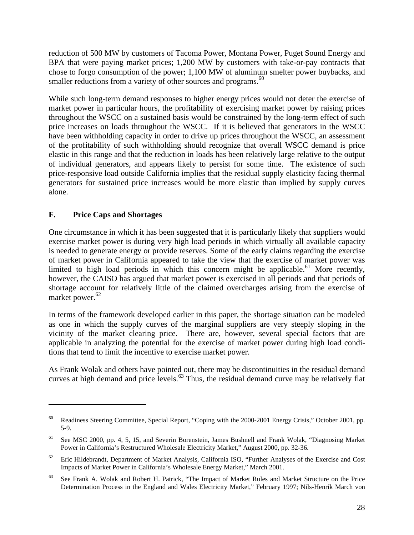reduction of 500 MW by customers of Tacoma Power, Montana Power, Puget Sound Energy and BPA that were paying market prices; 1,200 MW by customers with take-or-pay contracts that chose to forgo consumption of the power; 1,100 MW of aluminum smelter power buybacks, and smaller reductions from a variety of other sources and programs.<sup>60</sup>

While such long-term demand responses to higher energy prices would not deter the exercise of market power in particular hours, the profitability of exercising market power by raising prices throughout the WSCC on a sustained basis would be constrained by the long-term effect of such price increases on loads throughout the WSCC. If it is believed that generators in the WSCC have been withholding capacity in order to drive up prices throughout the WSCC, an assessment of the profitability of such withholding should recognize that overall WSCC demand is price elastic in this range and that the reduction in loads has been relatively large relative to the output of individual generators, and appears likely to persist for some time. The existence of such price-responsive load outside California implies that the residual supply elasticity facing thermal generators for sustained price increases would be more elastic than implied by supply curves alone.

# **F. Price Caps and Shortages**

1

One circumstance in which it has been suggested that it is particularly likely that suppliers would exercise market power is during very high load periods in which virtually all available capacity is needed to generate energy or provide reserves. Some of the early claims regarding the exercise of market power in California appeared to take the view that the exercise of market power was limited to high load periods in which this concern might be applicable.<sup>61</sup> More recently, however, the CAISO has argued that market power is exercised in all periods and that periods of shortage account for relatively little of the claimed overcharges arising from the exercise of market power.<sup>62</sup>

In terms of the framework developed earlier in this paper, the shortage situation can be modeled as one in which the supply curves of the marginal suppliers are very steeply sloping in the vicinity of the market clearing price. There are, however, several special factors that are applicable in analyzing the potential for the exercise of market power during high load conditions that tend to limit the incentive to exercise market power.

As Frank Wolak and others have pointed out, there may be discontinuities in the residual demand curves at high demand and price levels.<sup>63</sup> Thus, the residual demand curve may be relatively flat

<sup>&</sup>lt;sup>60</sup> Readiness Steering Committee, Special Report, "Coping with the 2000-2001 Energy Crisis," October 2001, pp. 5-9.

<sup>&</sup>lt;sup>61</sup> See MSC 2000, pp. 4, 5, 15, and Severin Borenstein, James Bushnell and Frank Wolak, "Diagnosing Market Power in California's Restructured Wholesale Electricity Market," August 2000, pp. 32-36.

<sup>&</sup>lt;sup>62</sup> Eric Hildebrandt, Department of Market Analysis, California ISO, "Further Analyses of the Exercise and Cost Impacts of Market Power in California's Wholesale Energy Market," March 2001.

<sup>&</sup>lt;sup>63</sup> See Frank A. Wolak and Robert H. Patrick, "The Impact of Market Rules and Market Structure on the Price Determination Process in the England and Wales Electricity Market," February 1997; Nils-Henrik March von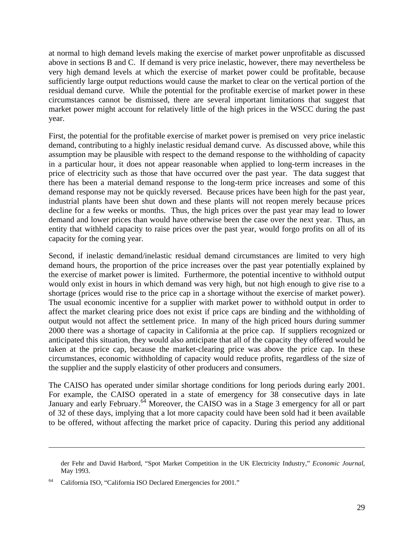at normal to high demand levels making the exercise of market power unprofitable as discussed above in sections B and C. If demand is very price inelastic, however, there may nevertheless be very high demand levels at which the exercise of market power could be profitable, because sufficiently large output reductions would cause the market to clear on the vertical portion of the residual demand curve. While the potential for the profitable exercise of market power in these circumstances cannot be dismissed, there are several important limitations that suggest that market power might account for relatively little of the high prices in the WSCC during the past year.

First, the potential for the profitable exercise of market power is premised on very price inelastic demand, contributing to a highly inelastic residual demand curve. As discussed above, while this assumption may be plausible with respect to the demand response to the withholding of capacity in a particular hour, it does not appear reasonable when applied to long-term increases in the price of electricity such as those that have occurred over the past year. The data suggest that there has been a material demand response to the long-term price increases and some of this demand response may not be quickly reversed. Because prices have been high for the past year, industrial plants have been shut down and these plants will not reopen merely because prices decline for a few weeks or months. Thus, the high prices over the past year may lead to lower demand and lower prices than would have otherwise been the case over the next year. Thus, an entity that withheld capacity to raise prices over the past year, would forgo profits on all of its capacity for the coming year.

Second, if inelastic demand/inelastic residual demand circumstances are limited to very high demand hours, the proportion of the price increases over the past year potentially explained by the exercise of market power is limited. Furthermore, the potential incentive to withhold output would only exist in hours in which demand was very high, but not high enough to give rise to a shortage (prices would rise to the price cap in a shortage without the exercise of market power). The usual economic incentive for a supplier with market power to withhold output in order to affect the market clearing price does not exist if price caps are binding and the withholding of output would not affect the settlement price. In many of the high priced hours during summer 2000 there was a shortage of capacity in California at the price cap. If suppliers recognized or anticipated this situation, they would also anticipate that all of the capacity they offered would be taken at the price cap, because the market-clearing price was above the price cap. In these circumstances, economic withholding of capacity would reduce profits, regardless of the size of the supplier and the supply elasticity of other producers and consumers.

The CAISO has operated under similar shortage conditions for long periods during early 2001. For example, the CAISO operated in a state of emergency for 38 consecutive days in late January and early February.<sup>64</sup> Moreover, the CAISO was in a Stage 3 emergency for all or part of 32 of these days, implying that a lot more capacity could have been sold had it been available to be offered, without affecting the market price of capacity. During this period any additional

der Fehr and David Harbord, "Spot Market Competition in the UK Electricity Industry," *Economic Journal*, May 1993.

<sup>64</sup> California ISO, "California ISO Declared Emergencies for 2001."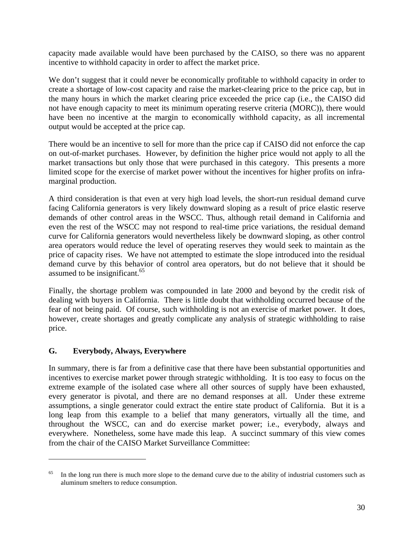capacity made available would have been purchased by the CAISO, so there was no apparent incentive to withhold capacity in order to affect the market price.

We don't suggest that it could never be economically profitable to withhold capacity in order to create a shortage of low-cost capacity and raise the market-clearing price to the price cap, but in the many hours in which the market clearing price exceeded the price cap (i.e., the CAISO did not have enough capacity to meet its minimum operating reserve criteria (MORC)), there would have been no incentive at the margin to economically withhold capacity, as all incremental output would be accepted at the price cap.

There would be an incentive to sell for more than the price cap if CAISO did not enforce the cap on out-of-market purchases. However, by definition the higher price would not apply to all the market transactions but only those that were purchased in this category. This presents a more limited scope for the exercise of market power without the incentives for higher profits on inframarginal production.

A third consideration is that even at very high load levels, the short-run residual demand curve facing California generators is very likely downward sloping as a result of price elastic reserve demands of other control areas in the WSCC. Thus, although retail demand in California and even the rest of the WSCC may not respond to real-time price variations, the residual demand curve for California generators would nevertheless likely be downward sloping, as other control area operators would reduce the level of operating reserves they would seek to maintain as the price of capacity rises. We have not attempted to estimate the slope introduced into the residual demand curve by this behavior of control area operators, but do not believe that it should be assumed to be insignificant.<sup>65</sup>

Finally, the shortage problem was compounded in late 2000 and beyond by the credit risk of dealing with buyers in California. There is little doubt that withholding occurred because of the fear of not being paid. Of course, such withholding is not an exercise of market power. It does, however, create shortages and greatly complicate any analysis of strategic withholding to raise price.

### **G. Everybody, Always, Everywhere**

 $\overline{a}$ 

In summary, there is far from a definitive case that there have been substantial opportunities and incentives to exercise market power through strategic withholding. It is too easy to focus on the extreme example of the isolated case where all other sources of supply have been exhausted, every generator is pivotal, and there are no demand responses at all. Under these extreme assumptions, a single generator could extract the entire state product of California. But it is a long leap from this example to a belief that many generators, virtually all the time, and throughout the WSCC, can and do exercise market power; i.e., everybody, always and everywhere. Nonetheless, some have made this leap. A succinct summary of this view comes from the chair of the CAISO Market Surveillance Committee:

<sup>&</sup>lt;sup>65</sup> In the long run there is much more slope to the demand curve due to the ability of industrial customers such as aluminum smelters to reduce consumption.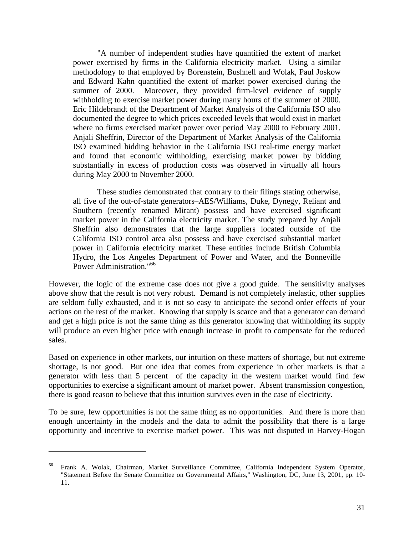"A number of independent studies have quantified the extent of market power exercised by firms in the California electricity market. Using a similar methodology to that employed by Borenstein, Bushnell and Wolak, Paul Joskow and Edward Kahn quantified the extent of market power exercised during the summer of 2000. Moreover, they provided firm-level evidence of supply withholding to exercise market power during many hours of the summer of 2000. Eric Hildebrandt of the Department of Market Analysis of the California ISO also documented the degree to which prices exceeded levels that would exist in market where no firms exercised market power over period May 2000 to February 2001. Anjali Sheffrin, Director of the Department of Market Analysis of the California ISO examined bidding behavior in the California ISO real-time energy market and found that economic withholding, exercising market power by bidding substantially in excess of production costs was observed in virtually all hours during May 2000 to November 2000.

These studies demonstrated that contrary to their filings stating otherwise, all five of the out-of-state generators–AES/Williams, Duke, Dynegy, Reliant and Southern (recently renamed Mirant) possess and have exercised significant market power in the California electricity market. The study prepared by Anjali Sheffrin also demonstrates that the large suppliers located outside of the California ISO control area also possess and have exercised substantial market power in California electricity market. These entities include British Columbia Hydro, the Los Angeles Department of Power and Water, and the Bonneville Power Administration."<sup>66</sup>

However, the logic of the extreme case does not give a good guide. The sensitivity analyses above show that the result is not very robust. Demand is not completely inelastic, other supplies are seldom fully exhausted, and it is not so easy to anticipate the second order effects of your actions on the rest of the market. Knowing that supply is scarce and that a generator can demand and get a high price is not the same thing as this generator knowing that withholding its supply will produce an even higher price with enough increase in profit to compensate for the reduced sales.

Based on experience in other markets, our intuition on these matters of shortage, but not extreme shortage, is not good. But one idea that comes from experience in other markets is that a generator with less than 5 percent of the capacity in the western market would find few opportunities to exercise a significant amount of market power. Absent transmission congestion, there is good reason to believe that this intuition survives even in the case of electricity.

To be sure, few opportunities is not the same thing as no opportunities. And there is more than enough uncertainty in the models and the data to admit the possibility that there is a large opportunity and incentive to exercise market power. This was not disputed in Harvey-Hogan

<sup>66</sup> Frank A. Wolak, Chairman, Market Surveillance Committee, California Independent System Operator, "Statement Before the Senate Committee on Governmental Affairs," Washington, DC, June 13, 2001, pp. 10- 11.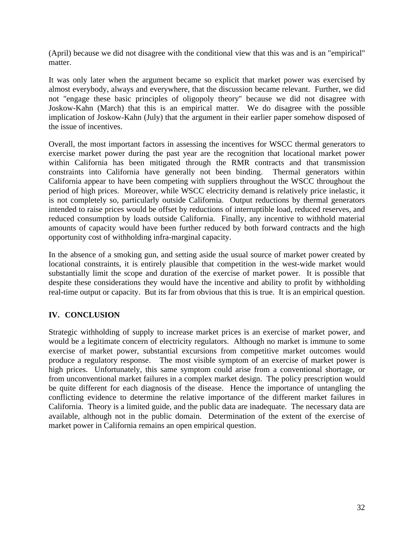(April) because we did not disagree with the conditional view that this was and is an "empirical" matter.

It was only later when the argument became so explicit that market power was exercised by almost everybody, always and everywhere, that the discussion became relevant. Further, we did not "engage these basic principles of oligopoly theory" because we did not disagree with Joskow-Kahn (March) that this is an empirical matter. We do disagree with the possible implication of Joskow-Kahn (July) that the argument in their earlier paper somehow disposed of the issue of incentives.

Overall, the most important factors in assessing the incentives for WSCC thermal generators to exercise market power during the past year are the recognition that locational market power within California has been mitigated through the RMR contracts and that transmission constraints into California have generally not been binding. Thermal generators within California appear to have been competing with suppliers throughout the WSCC throughout the period of high prices. Moreover, while WSCC electricity demand is relatively price inelastic, it is not completely so, particularly outside California. Output reductions by thermal generators intended to raise prices would be offset by reductions of interruptible load, reduced reserves, and reduced consumption by loads outside California. Finally, any incentive to withhold material amounts of capacity would have been further reduced by both forward contracts and the high opportunity cost of withholding infra-marginal capacity.

In the absence of a smoking gun, and setting aside the usual source of market power created by locational constraints, it is entirely plausible that competition in the west-wide market would substantially limit the scope and duration of the exercise of market power. It is possible that despite these considerations they would have the incentive and ability to profit by withholding real-time output or capacity. But its far from obvious that this is true. It is an empirical question.

### **IV. CONCLUSION**

Strategic withholding of supply to increase market prices is an exercise of market power, and would be a legitimate concern of electricity regulators. Although no market is immune to some exercise of market power, substantial excursions from competitive market outcomes would produce a regulatory response. The most visible symptom of an exercise of market power is high prices. Unfortunately, this same symptom could arise from a conventional shortage, or from unconventional market failures in a complex market design. The policy prescription would be quite different for each diagnosis of the disease. Hence the importance of untangling the conflicting evidence to determine the relative importance of the different market failures in California. Theory is a limited guide, and the public data are inadequate. The necessary data are available, although not in the public domain. Determination of the extent of the exercise of market power in California remains an open empirical question.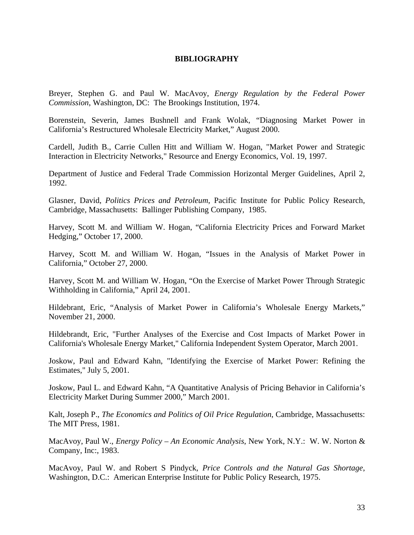### **BIBLIOGRAPHY**

Breyer, Stephen G. and Paul W. MacAvoy, *Energy Regulation by the Federal Power Commission*, Washington, DC: The Brookings Institution, 1974.

Borenstein, Severin, James Bushnell and Frank Wolak, "Diagnosing Market Power in California's Restructured Wholesale Electricity Market," August 2000.

Cardell, Judith B., Carrie Cullen Hitt and William W. Hogan, "Market Power and Strategic Interaction in Electricity Networks," Resource and Energy Economics, Vol. 19, 1997.

Department of Justice and Federal Trade Commission Horizontal Merger Guidelines, April 2, 1992.

Glasner, David, *Politics Prices and Petroleum*, Pacific Institute for Public Policy Research, Cambridge, Massachusetts: Ballinger Publishing Company, 1985.

Harvey, Scott M. and William W. Hogan, "California Electricity Prices and Forward Market Hedging," October 17, 2000.

Harvey, Scott M. and William W. Hogan, "Issues in the Analysis of Market Power in California," October 27, 2000.

Harvey, Scott M. and William W. Hogan, "On the Exercise of Market Power Through Strategic Withholding in California," April 24, 2001.

Hildebrant, Eric, "Analysis of Market Power in California's Wholesale Energy Markets," November 21, 2000.

Hildebrandt, Eric, "Further Analyses of the Exercise and Cost Impacts of Market Power in California's Wholesale Energy Market," California Independent System Operator, March 2001.

Joskow, Paul and Edward Kahn, "Identifying the Exercise of Market Power: Refining the Estimates," July 5, 2001.

Joskow, Paul L. and Edward Kahn, "A Quantitative Analysis of Pricing Behavior in California's Electricity Market During Summer 2000," March 2001.

Kalt, Joseph P., *The Economics and Politics of Oil Price Regulation*, Cambridge, Massachusetts: The MIT Press, 1981.

MacAvoy, Paul W., *Energy Policy – An Economic Analysis*, New York, N.Y.: W. W. Norton & Company, Inc:, 1983.

MacAvoy, Paul W. and Robert S Pindyck, *Price Controls and the Natural Gas Shortage*, Washington, D.C.: American Enterprise Institute for Public Policy Research, 1975.